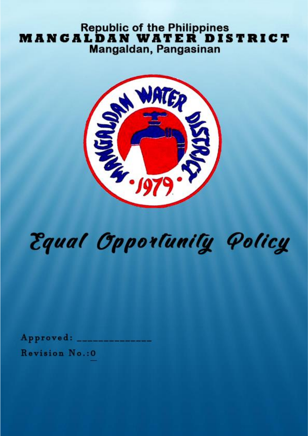## PHILLER DI **Mangaldan, rangasman**



# **EQUAL OPPORTUNITY POLICY**

**Approved: \_\_\_\_\_\_\_\_\_\_\_\_\_\_\_\_\_\_\_\_\_ Revision No. : 0**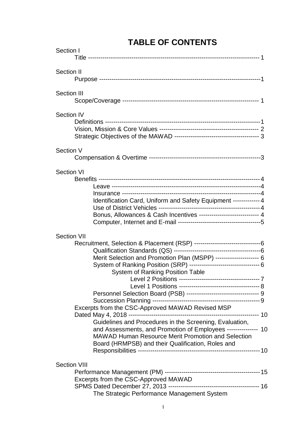| Section I                                                                                                                                                                                                                                                                                                                                                                                                                                                                                                                                                                                              |  |
|--------------------------------------------------------------------------------------------------------------------------------------------------------------------------------------------------------------------------------------------------------------------------------------------------------------------------------------------------------------------------------------------------------------------------------------------------------------------------------------------------------------------------------------------------------------------------------------------------------|--|
| <b>Section II</b>                                                                                                                                                                                                                                                                                                                                                                                                                                                                                                                                                                                      |  |
| <b>Section III</b>                                                                                                                                                                                                                                                                                                                                                                                                                                                                                                                                                                                     |  |
| Section IV                                                                                                                                                                                                                                                                                                                                                                                                                                                                                                                                                                                             |  |
| Section V                                                                                                                                                                                                                                                                                                                                                                                                                                                                                                                                                                                              |  |
| <b>Section VI</b><br>Identification Card, Uniform and Safety Equipment ------------- 4<br>Bonus, Allowances & Cash Incentives ---------------------------- 4                                                                                                                                                                                                                                                                                                                                                                                                                                           |  |
| <b>Section VII</b><br>Merit Selection and Promotion Plan (MSPP) --------------------- 6<br>System of Ranking Position (SRP) ----------------------------------- 6<br>System of Ranking Position Table<br>Personnel Selection Board (PSB) ----------------------------------- 9<br>Excerpts from the CSC-Approved MAWAD Revised MSP<br>Dated May 4, 2018 ------<br>Guidelines and Procedures in the Screening, Evaluation,<br>and Assessments, and Promotion of Employees --------------- 10<br>MAWAD Human Resource Merit Promotion and Selection<br>Board (HRMPSB) and their Qualification, Roles and |  |
| <b>Section VIII</b><br>Excerpts from the CSC-Approved MAWAD<br>The Strategic Performance Management System                                                                                                                                                                                                                                                                                                                                                                                                                                                                                             |  |

## **TABLE OF CONTENTS**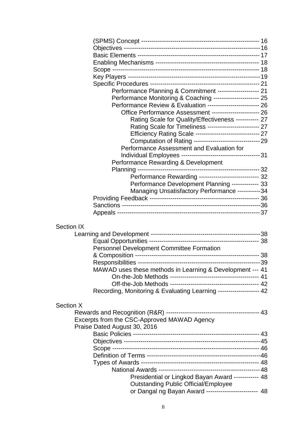|            | Performance Planning & Commitment ------------------- 21           |  |
|------------|--------------------------------------------------------------------|--|
|            | Performance Monitoring & Coaching --------------------- 25         |  |
|            | Performance Review & Evaluation ------------------------- 26       |  |
|            | Office Performance Assessment ----------------------- 26           |  |
|            | Rating Scale for Quality/Effectiveness ----------- 27              |  |
|            | Rating Scale for Timeliness ------------------------- 27           |  |
|            | Efficiency Rating Scale ------------------------------ 27          |  |
|            | Computation of Rating -------------------------------- 29          |  |
|            | Performance Assessment and Evaluation for                          |  |
|            |                                                                    |  |
|            | Performance Rewarding & Development                                |  |
|            | Planning ---                                                       |  |
|            | Performance Rewarding ---------------------------- 32              |  |
|            | Performance Development Planning ------------ 33                   |  |
|            | Managing Unsatisfactory Performance -----------34                  |  |
|            |                                                                    |  |
|            |                                                                    |  |
|            |                                                                    |  |
| Section IX |                                                                    |  |
|            |                                                                    |  |
|            |                                                                    |  |
|            | <b>Personnel Development Committee Formation</b>                   |  |
|            |                                                                    |  |
|            |                                                                    |  |
|            | MAWAD uses these methods in Learning & Development --- 41          |  |
|            |                                                                    |  |
|            |                                                                    |  |
|            | Recording, Monitoring & Evaluating Learning ------------------- 42 |  |
|            |                                                                    |  |
| Section X  |                                                                    |  |
|            |                                                                    |  |
|            | Excerpts from the CSC-Approved MAWAD Agency                        |  |
|            | Praise Dated August 30, 2016                                       |  |
|            |                                                                    |  |
|            |                                                                    |  |
|            |                                                                    |  |
|            |                                                                    |  |
|            |                                                                    |  |
|            |                                                                    |  |
|            | Presidential or Lingkod Bayan Award ------------ 48                |  |
|            | <b>Outstanding Public Official/Employee</b>                        |  |
|            | or Dangal ng Bayan Award ------------------------ 48               |  |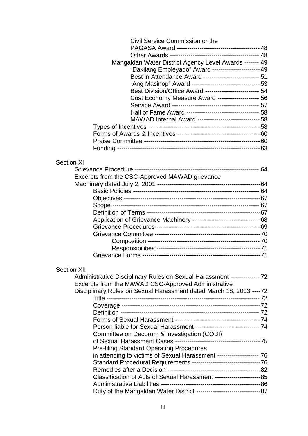| Civil Service Commission or the                          |  |
|----------------------------------------------------------|--|
|                                                          |  |
|                                                          |  |
| Mangaldan Water District Agency Level Awards ------- 49  |  |
| "Dakilang Empleyado" Award ----------------------49      |  |
| Best in Attendance Award -------------------------- 51   |  |
| "Ang Masinop" Award --------------------------------- 53 |  |
| Best Division/Office Award -------------------------- 54 |  |
| Cost Economy Measure Award ------------------- 56        |  |
|                                                          |  |
| Hall of Fame Award ---------------------------------- 58 |  |
| MAWAD Internal Award ------------------------------ 58   |  |
|                                                          |  |
|                                                          |  |
|                                                          |  |
|                                                          |  |
|                                                          |  |
| <b>Section XI</b>                                        |  |
|                                                          |  |
| Excerpts from the CSC-Approved MAWAD grievance           |  |

| Excerpts from the CSC-Approved MAWAD grievance |     |
|------------------------------------------------|-----|
|                                                | 64  |
|                                                | 64  |
|                                                | -67 |
|                                                |     |
|                                                |     |
|                                                |     |
|                                                |     |
|                                                |     |
|                                                |     |
|                                                |     |
|                                                |     |
|                                                |     |

## Section XII

| Administrative Disciplinary Rules on Sexual Harassment -------------- 72<br>Excerpts from the MAWAD CSC-Approved Administrative |  |
|---------------------------------------------------------------------------------------------------------------------------------|--|
| Disciplinary Rules on Sexual Harassment dated March 18, 2003 ---- 72                                                            |  |
|                                                                                                                                 |  |
|                                                                                                                                 |  |
|                                                                                                                                 |  |
|                                                                                                                                 |  |
| Person liable for Sexual Harassment -------------------------------- 74                                                         |  |
| Committee on Decorum & Investigation (CODI)                                                                                     |  |
|                                                                                                                                 |  |
| <b>Pre-filing Standard Operating Procedures</b>                                                                                 |  |
| in attending to victims of Sexual Harassment --------------------- 76                                                           |  |
|                                                                                                                                 |  |
|                                                                                                                                 |  |
| Classification of Acts of Sexual Harassment ----------------------------85                                                      |  |
|                                                                                                                                 |  |
|                                                                                                                                 |  |
|                                                                                                                                 |  |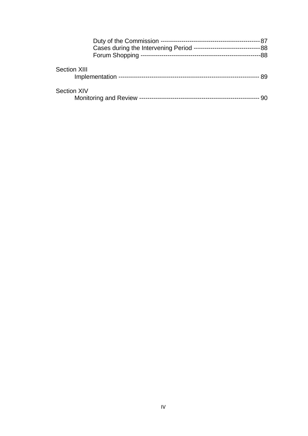|                     | Cases during the Intervening Period -------------------------------- | 88 |
|---------------------|----------------------------------------------------------------------|----|
|                     |                                                                      |    |
| <b>Section XIII</b> |                                                                      |    |
| <b>Section XIV</b>  |                                                                      |    |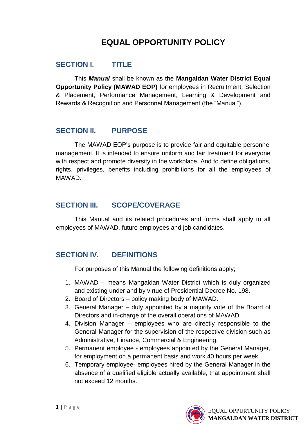## **EQUAL OPPORTUNITY POLICY**

## **SECTION I. TITLE**

This *Manual* shall be known as the **Mangaldan Water District Equal Opportunity Policy (MAWAD EOP)** for employees in Recruitment, Selection & Placement, Performance Management, Learning & Development and Rewards & Recognition and Personnel Management (the "Manual").

## **SECTION II. PURPOSE**

The MAWAD EOP's purpose is to provide fair and equitable personnel management. It is intended to ensure uniform and fair treatment for everyone with respect and promote diversity in the workplace. And to define obligations, rights, privileges, benefits including prohibitions for all the employees of MAWAD.

## **SECTION III. SCOPE/COVERAGE**

This Manual and its related procedures and forms shall apply to all employees of MAWAD, future employees and job candidates.

## **SECTION IV. DEFINITIONS**

For purposes of this Manual the following definitions apply;

- 1. MAWAD means Mangaldan Water District which is duly organized and existing under and by virtue of Presidential Decree No. 198.
- 2. Board of Directors policy making body of MAWAD.
- 3. General Manager duly appointed by a majority vote of the Board of Directors and in-charge of the overall operations of MAWAD.
- 4. Division Manager employees who are directly responsible to the General Manager for the supervision of the respective division such as Administrative, Finance, Commercial & Engineering.
- 5. Permanent employee employees appointed by the General Manager, for employment on a permanent basis and work 40 hours per week.
- 6. Temporary employee- employees hired by the General Manager in the absence of a qualified eligible actually available, that appointment shall not exceed 12 months.

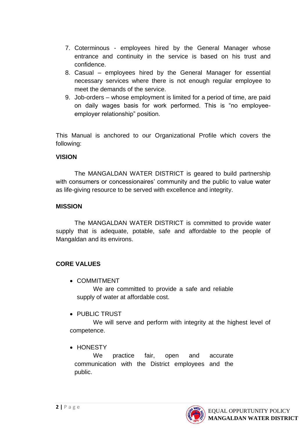- 7. Coterminous employees hired by the General Manager whose entrance and continuity in the service is based on his trust and confidence.
- 8. Casual employees hired by the General Manager for essential necessary services where there is not enough regular employee to meet the demands of the service.
- 9. Job-orders whose employment is limited for a period of time, are paid on daily wages basis for work performed. This is "no employeeemployer relationship" position.

This Manual is anchored to our Organizational Profile which covers the following:

#### **VISION**

The MANGALDAN WATER DISTRICT is geared to build partnership with consumers or concessionaires' community and the public to value water as life-giving resource to be served with excellence and integrity.

#### **MISSION**

The MANGALDAN WATER DISTRICT is committed to provide water supply that is adequate, potable, safe and affordable to the people of Mangaldan and its environs.

#### **CORE VALUES**

- COMMITMENT We are committed to provide a safe and reliable supply of water at affordable cost.
- PUBLIC TRUST

We will serve and perform with integrity at the highest level of competence.

• HONESTY

We practice fair, open and accurate communication with the District employees and the public.

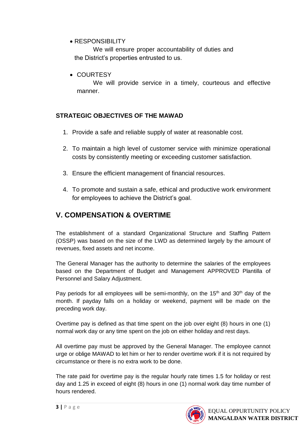• RESPONSIBILITY

We will ensure proper accountability of duties and the District's properties entrusted to us.

• COURTESY

We will provide service in a timely, courteous and effective manner.

#### **STRATEGIC OBJECTIVES OF THE MAWAD**

- 1. Provide a safe and reliable supply of water at reasonable cost.
- 2. To maintain a high level of customer service with minimize operational costs by consistently meeting or exceeding customer satisfaction.
- 3. Ensure the efficient management of financial resources.
- 4. To promote and sustain a safe, ethical and productive work environment for employees to achieve the District's goal.

## **V. COMPENSATION & OVERTIME**

The establishment of a standard Organizational Structure and Staffing Pattern (OSSP) was based on the size of the LWD as determined largely by the amount of revenues, fixed assets and net income.

The General Manager has the authority to determine the salaries of the employees based on the Department of Budget and Management APPROVED Plantilla of Personnel and Salary Adjustment.

Pay periods for all employees will be semi-monthly, on the  $15<sup>th</sup>$  and  $30<sup>th</sup>$  day of the month. If payday falls on a holiday or weekend, payment will be made on the preceding work day.

Overtime pay is defined as that time spent on the job over eight (8) hours in one (1) normal work day or any time spent on the job on either holiday and rest days.

All overtime pay must be approved by the General Manager. The employee cannot urge or oblige MAWAD to let him or her to render overtime work if it is not required by circumstance or there is no extra work to be done.

The rate paid for overtime pay is the regular hourly rate times 1.5 for holiday or rest day and 1.25 in exceed of eight (8) hours in one (1) normal work day time number of hours rendered.

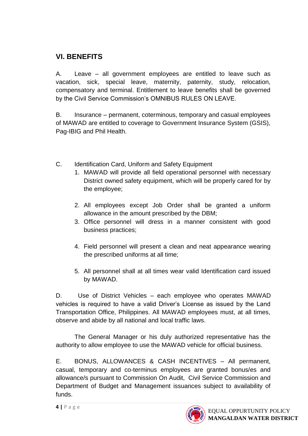## **VI. BENEFITS**

A. Leave – all government employees are entitled to leave such as vacation, sick, special leave, maternity, paternity, study, relocation, compensatory and terminal. Entitlement to leave benefits shall be governed by the Civil Service Commission's OMNIBUS RULES ON LEAVE.

B. Insurance – permanent, coterminous, temporary and casual employees of MAWAD are entitled to coverage to Government Insurance System (GSIS), Pag-IBIG and Phil Health.

- C. Identification Card, Uniform and Safety Equipment
	- 1. MAWAD will provide all field operational personnel with necessary District owned safety equipment, which will be properly cared for by the employee;
	- 2. All employees except Job Order shall be granted a uniform allowance in the amount prescribed by the DBM;
	- 3. Office personnel will dress in a manner consistent with good business practices;
	- 4. Field personnel will present a clean and neat appearance wearing the prescribed uniforms at all time;
	- 5. All personnel shall at all times wear valid Identification card issued by MAWAD.

D. Use of District Vehicles – each employee who operates MAWAD vehicles is required to have a valid Driver's License as issued by the Land Transportation Office, Philippines. All MAWAD employees must, at all times, observe and abide by all national and local traffic laws.

The General Manager or his duly authorized representative has the authority to allow employee to use the MAWAD vehicle for official business.

E. BONUS, ALLOWANCES & CASH INCENTIVES – All permanent, casual, temporary and co-terminus employees are granted bonus/es and allowance/s pursuant to Commission On Audit, Civil Service Commission and Department of Budget and Management issuances subject to availability of funds.

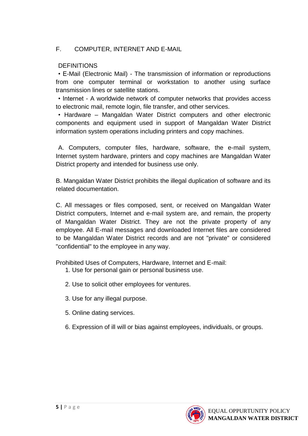#### F. COMPUTER, INTERNET AND E-MAIL

#### DEFINITIONS

• E-Mail (Electronic Mail) - The transmission of information or reproductions from one computer terminal or workstation to another using surface transmission lines or satellite stations.

• Internet - A worldwide network of computer networks that provides access to electronic mail, remote login, file transfer, and other services.

• Hardware – Mangaldan Water District computers and other electronic components and equipment used in support of Mangaldan Water District information system operations including printers and copy machines.

A. Computers, computer files, hardware, software, the e-mail system, Internet system hardware, printers and copy machines are Mangaldan Water District property and intended for business use only.

B. Mangaldan Water District prohibits the illegal duplication of software and its related documentation.

C. All messages or files composed, sent, or received on Mangaldan Water District computers, Internet and e-mail system are, and remain, the property of Mangaldan Water District. They are not the private property of any employee. All E-mail messages and downloaded Internet files are considered to be Mangaldan Water District records and are not "private" or considered "confidential" to the employee in any way.

Prohibited Uses of Computers, Hardware, Internet and E-mail:

- 1. Use for personal gain or personal business use.
- 2. Use to solicit other employees for ventures.
- 3. Use for any illegal purpose.
- 5. Online dating services.
- 6. Expression of ill will or bias against employees, individuals, or groups.

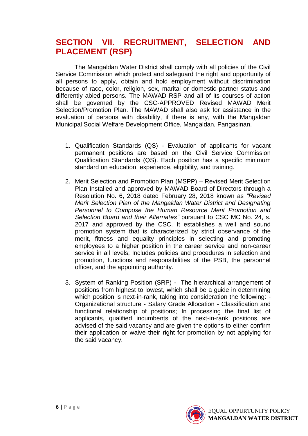## **SECTION VII. RECRUITMENT, SELECTION AND PLACEMENT (RSP)**

The Mangaldan Water District shall comply with all policies of the Civil Service Commission which protect and safeguard the right and opportunity of all persons to apply, obtain and hold employment without discrimination because of race, color, religion, sex, marital or domestic partner status and differently abled persons. The MAWAD RSP and all of its courses of action shall be governed by the CSC-APPROVED Revised MAWAD Merit Selection/Promotion Plan. The MAWAD shall also ask for assistance in the evaluation of persons with disability, if there is any, with the Mangaldan Municipal Social Welfare Development Office, Mangaldan, Pangasinan.

- 1. Qualification Standards (QS) Evaluation of applicants for vacant permanent positions are based on the Civil Service Commission Qualification Standards (QS). Each position has a specific minimum standard on education, experience, eligibility, and training.
- 2. Merit Selection and Promotion Plan (MSPP) Revised Merit Selection Plan Installed and approved by MAWAD Board of Directors through a Resolution No. 6, 2018 dated February 28, 2018 known as *"Revised Merit Selection Plan of the Mangaldan Water District and Designating Personnel to Compose the Human Resource Merit Promotion and Selection Board and their Alternates"* pursuant to CSC MC No. 24, s. 2017 and approved by the CSC. It establishes a well and sound promotion system that is characterized by strict observance of the merit, fitness and equality principles in selecting and promoting employees to a higher position in the career service and non-career service in all levels; Includes policies and procedures in selection and promotion, functions and responsibilities of the PSB, the personnel officer, and the appointing authority.
- 3. System of Ranking Position (SRP) The hierarchical arrangement of positions from highest to lowest, which shall be a guide in determining which position is next-in-rank, taking into consideration the following: -Organizational structure - Salary Grade Allocation - Classification and functional relationship of positions; In processing the final list of applicants, qualified incumbents of the next-in-rank positions are advised of the said vacancy and are given the options to either confirm their application or waive their right for promotion by not applying for the said vacancy.

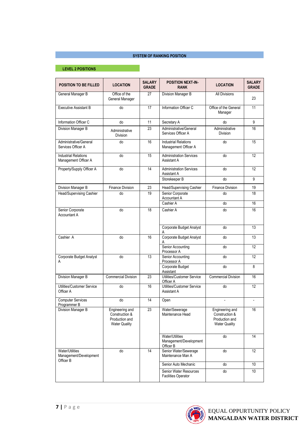#### **SYSTEM OF RANKING POSITION**

#### **LEVEL 2 POSITIONS**

| POSITION TO BE FILLED                                  | <b>LOCATION</b>                                                             | <b>SALARY</b><br><b>GRADE</b> | <b>POSITION NEXT-IN-</b><br><b>RANK</b>                | <b>LOCATION</b>                                                             | <b>SALARY</b><br><b>GRADE</b> |
|--------------------------------------------------------|-----------------------------------------------------------------------------|-------------------------------|--------------------------------------------------------|-----------------------------------------------------------------------------|-------------------------------|
| General Manager B                                      | Office of the<br>General Manager                                            | 27                            | Division Manager B                                     | All Divisions                                                               | 23                            |
| <b>Executive Assistant B</b>                           | do                                                                          | 17                            | Information Officer C                                  | Office of the General<br>Manager                                            | 11                            |
| Information Officer C                                  | do                                                                          | 11                            | Secretary A                                            | do                                                                          | 9                             |
| Division Manager B                                     | Administrative<br>Division                                                  | 23                            | Administrative/General<br>Services Officer A           | Administrative<br><b>Division</b>                                           | 16                            |
| Administrative/General<br>Services Officer A           | do                                                                          | 16                            | <b>Industrial Relations</b><br>Management Officer A    | do                                                                          | 15                            |
| <b>Industrial Relations</b><br>Management Officer A    | do                                                                          | 15                            | <b>Administration Services</b><br>Assistant A          | do                                                                          | 12                            |
| Property/Supply Officer A                              | do                                                                          | 14                            | <b>Administration Services</b><br>Assistant A          | do                                                                          | 12                            |
|                                                        |                                                                             |                               | Storekeeper B                                          | do                                                                          | 9                             |
| Division Manager B                                     | <b>Finance Division</b>                                                     | 23                            | Head/Supervising Cashier                               | <b>Finance Division</b>                                                     | 19                            |
| Head/Supervising Cashier                               | do                                                                          | 19                            | Senior Corporate<br>Accountant A                       | do                                                                          | 18                            |
|                                                        |                                                                             |                               | Cashier A                                              | do                                                                          | 16                            |
| Senior Corporate<br>Accountant A                       | do                                                                          | 18                            | Cashier A                                              | do                                                                          | 16                            |
|                                                        |                                                                             |                               | Corporate Budget Analyst                               | do                                                                          | 13                            |
| Cashier A                                              | do                                                                          | 16                            | Corporate Budget Analyst                               | do                                                                          | 13                            |
|                                                        |                                                                             |                               | Senior Accounting<br>Processor A                       | do                                                                          | 12                            |
| Corporate Budget Analyst<br>A                          | do                                                                          | 13                            | Senior Accounting<br>Processor A                       | do                                                                          | 12                            |
|                                                        |                                                                             |                               | Corporate Budget<br>Assistant                          | do                                                                          | 8                             |
| Division Manager B                                     | <b>Commercial Division</b>                                                  | 23                            | Utilities/Customer Service<br>Officer A                | <b>Commercial Division</b>                                                  | 16                            |
| Utilities/Customer Service<br>Officer A                | do                                                                          | 16                            | Utilities/Customer Service<br>Assistant A              | do                                                                          | 12                            |
| <b>Computer Services</b><br>Programmer B               | do                                                                          | 14                            | Open                                                   |                                                                             | $\frac{1}{2}$                 |
| Division Manager B                                     | Engineering and<br>Construction &<br>Production and<br><b>Water Quality</b> | 23                            | Water/Sewerage<br>Maintenance Head                     | Engineering and<br>Construction &<br>Production and<br><b>Water Quality</b> | 16                            |
|                                                        |                                                                             |                               | Water/Utilities<br>Management/Development<br>Officer B | do                                                                          | 14                            |
| Water/Utilities<br>Management/Development<br>Officer B | do                                                                          | 14                            | Senior Water/Sewerage<br>Maintenance Man A             | do                                                                          | 12                            |
|                                                        |                                                                             |                               | Senior Auto Mechanic                                   | do                                                                          | 10                            |
|                                                        |                                                                             |                               | Senior Water Resources<br><b>Facilities Operator</b>   | do                                                                          | 10                            |

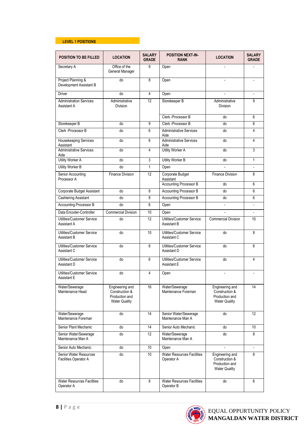#### **LEVEL 1 POSITIONS**

| <b>POSITION TO BE FILLED</b>                     | <b>LOCATION</b>                                                             | <b>SALARY</b><br><b>GRADE</b> | <b>POSITION NEXT-IN-</b><br><b>RANK</b>         | <b>LOCATION</b>                                                             | <b>SALARY</b><br><b>GRADE</b> |
|--------------------------------------------------|-----------------------------------------------------------------------------|-------------------------------|-------------------------------------------------|-----------------------------------------------------------------------------|-------------------------------|
| Secretary A                                      | Office of the<br>General Manager                                            | 9                             | Open                                            |                                                                             |                               |
| Project Planning &<br>Development Assistant B    | do                                                                          | 8                             | Open                                            |                                                                             |                               |
| Driver                                           | do                                                                          | 4                             | Open                                            | $\frac{1}{2}$                                                               | $\overline{\phantom{a}}$      |
| <b>Administration Services</b><br>Assistant A    | Administrative<br>Division                                                  | 12                            | Storekeeper B                                   | Administrative<br><b>Division</b>                                           | 9                             |
|                                                  |                                                                             |                               | Clerk - Processor B                             | do                                                                          | 6                             |
| Storekeeper B                                    | do                                                                          | 9                             | Clerk - Processor B                             | do                                                                          | 6                             |
| Clerk - Processor B                              | do                                                                          | 6                             | <b>Administrative Services</b><br>Aide          | do                                                                          | 4                             |
| Housekeeping Services<br>Assistant               | do                                                                          | 6                             | <b>Administrative Services</b><br>Aide          | do                                                                          | 4                             |
| <b>Administrative Services</b><br>Aide           | do                                                                          | 4                             | <b>Utility Worker A</b>                         | do                                                                          | 3                             |
| <b>Utility Worker A</b>                          | do                                                                          | 3                             | <b>Utility Worker B</b>                         | do                                                                          | 1                             |
| <b>Utility Worker B</b>                          | do                                                                          | 1                             | Open                                            | $\overline{a}$                                                              | $\mathbf{r}$                  |
| Senior Accounting<br>Processor A                 | <b>Finance Division</b>                                                     | 12                            | Corporate Budget<br>Assistant                   | <b>Finance Division</b>                                                     | 8                             |
|                                                  |                                                                             |                               | <b>Accounting Processor B</b>                   | do                                                                          | 6                             |
| Corporate Budget Assistant                       | do                                                                          | 8                             | <b>Accounting Processor B</b>                   | do                                                                          | 6                             |
| <b>Cashiering Assistant</b>                      | do                                                                          | 8                             | Accounting Processor B                          | do                                                                          | 6                             |
| <b>Accounting Processor B</b>                    | do                                                                          | 6                             | Open                                            |                                                                             |                               |
| Data Encoder-Controller                          | <b>Commercial Division</b>                                                  | 10                            | Open                                            | $\overline{a}$                                                              | $\overline{\phantom{a}}$      |
| Utilities/Customer Service<br>Assistant A        | do                                                                          | 12                            | Utilities/Customer Service<br>Assistant B       | <b>Commercial Division</b>                                                  | 10                            |
| Utilities/Customer Service<br>Assistant B        | do                                                                          | 10                            | Utilities/Customer Service<br>Assistant C       | do                                                                          | 8                             |
| Utilities/Customer Service<br>Assistant C        | do                                                                          | 8                             | Utilities/Customer Service<br>Assistant D       | do                                                                          | 6                             |
| Utilities/Customer Service<br>Assistant D        | do                                                                          | 6                             | Utilities/Customer Service<br>Assistant E       | do                                                                          | 4                             |
| Utilities/Customer Service<br><b>Assistant E</b> | do                                                                          | 4                             | Open                                            |                                                                             |                               |
| Water/Sewerage<br>Maintenance Head               | Engineering and<br>Construction &<br>Production and<br><b>Water Quality</b> | 16                            | Water/Sewerage<br>Maintenance Foreman           | Engineering and<br>Construction &<br>Production and<br><b>Water Quality</b> | 14                            |
| Water/Sewerage<br>Maintenance Foreman            | do                                                                          | 14                            | Senior Water/Sewerage<br>Maintenance Man A      | do                                                                          | 12                            |
| Senior Plant Mechanic                            | do                                                                          | 14                            | Senior Auto Mechanic                            | do                                                                          | 10                            |
| Senior Water/Sewerage<br>Maintenance Man A       | do                                                                          | 12                            | Water/Sewerage<br>Maintenance Man A             | do                                                                          | 8                             |
| Senior Auto Mechanic                             | do                                                                          | 10                            | Open                                            | $\overline{a}$                                                              |                               |
| Senior Water Resources<br>Facilities Operator A  | do                                                                          | 10                            | <b>Water Resources Facilities</b><br>Operator A | Engineering and<br>Construction &<br>Production and<br><b>Water Quality</b> | 8                             |
| <b>Water Resources Facilities</b><br>Operator A  | do                                                                          | 8                             | <b>Water Resources Facilities</b><br>Operator B | do                                                                          | 6                             |

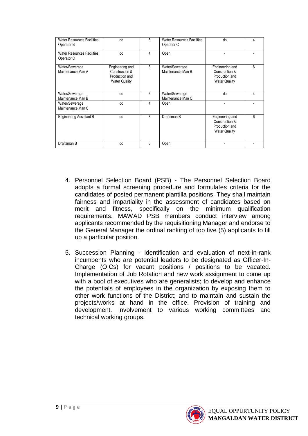| <b>Water Resources Facilities</b><br>Operator B | do                                                                          | 6 | <b>Water Resources Facilities</b><br>Operator C | do                                                                          | 4 |
|-------------------------------------------------|-----------------------------------------------------------------------------|---|-------------------------------------------------|-----------------------------------------------------------------------------|---|
| <b>Water Resources Facilities</b><br>Operator C | do                                                                          | 4 | Open                                            |                                                                             |   |
| Water/Sewerage<br>Maintenance Man A             | Engineering and<br>Construction &<br>Production and<br><b>Water Quality</b> | 8 | Water/Sewerage<br>Maintenance Man B             | Engineering and<br>Construction &<br>Production and<br><b>Water Quality</b> | 6 |
| Water/Sewerage<br>Maintenance Man B             | do                                                                          | 6 | Water/Sewerage<br>Maintenance Man C             | do                                                                          | 4 |
| Water/Sewerage<br>Maintenance Man C             | do                                                                          | 4 | Open                                            |                                                                             |   |
| <b>Engineering Assistant B</b>                  | do                                                                          | 8 | Draftsman B                                     | Engineering and<br>Construction &<br>Production and<br><b>Water Quality</b> | 6 |
| Draftsman B                                     | do                                                                          | 6 | Open                                            |                                                                             |   |

- 4. Personnel Selection Board (PSB) The Personnel Selection Board adopts a formal screening procedure and formulates criteria for the candidates of posted permanent plantilla positions. They shall maintain fairness and impartiality in the assessment of candidates based on merit and fitness, specifically on the minimum qualification requirements. MAWAD PSB members conduct interview among applicants recommended by the requisitioning Manager and endorse to the General Manager the ordinal ranking of top five (5) applicants to fill up a particular position.
- 5. Succession Planning Identification and evaluation of next-in-rank incumbents who are potential leaders to be designated as Officer-In-Charge (OICs) for vacant positions / positions to be vacated. Implementation of Job Rotation and new work assignment to come up with a pool of executives who are generalists; to develop and enhance the potentials of employees in the organization by exposing them to other work functions of the District; and to maintain and sustain the projects/works at hand in the office. Provision of training and development. Involvement to various working committees and technical working groups.

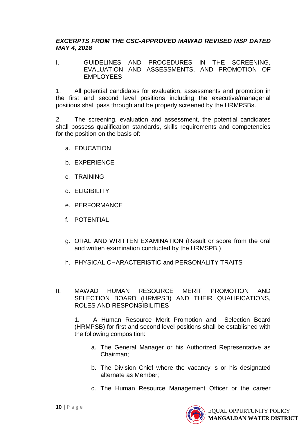#### *EXCERPTS FROM THE CSC-APPROVED MAWAD REVISED MSP DATED MAY 4, 2018*

I. GUIDELINES AND PROCEDURES IN THE SCREENING, EVALUATION AND ASSESSMENTS, AND PROMOTION OF EMPLOYEES

1. All potential candidates for evaluation, assessments and promotion in the first and second level positions including the executive/managerial positions shall pass through and be properly screened by the HRMPSBs.

2. The screening, evaluation and assessment, the potential candidates shall possess qualification standards, skills requirements and competencies for the position on the basis of:

- a. EDUCATION
- b. EXPERIENCE
- c. TRAINING
- d. ELIGIBILITY
- e. PERFORMANCE
- f. POTENTIAL
- g. ORAL AND WRITTEN EXAMINATION (Result or score from the oral and written examination conducted by the HRMSPB.)
- h. PHYSICAL CHARACTERISTIC and PERSONALITY TRAITS
- II. MAWAD HUMAN RESOURCE MERIT PROMOTION AND SELECTION BOARD (HRMPSB) AND THEIR QUALIFICATIONS, ROLES AND RESPONSIBILITIES

1. A Human Resource Merit Promotion and Selection Board (HRMPSB) for first and second level positions shall be established with the following composition:

- a. The General Manager or his Authorized Representative as Chairman;
- b. The Division Chief where the vacancy is or his designated alternate as Member;
- c. The Human Resource Management Officer or the career

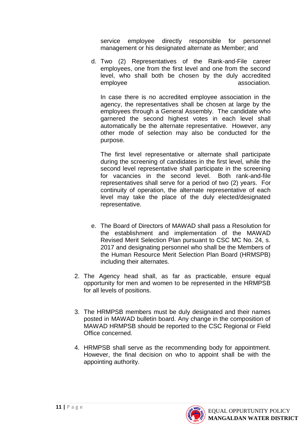service employee directly responsible for personnel management or his designated alternate as Member; and

d. Two (2) Representatives of the Rank-and-File career employees, one from the first level and one from the second level, who shall both be chosen by the duly accredited employee association.

In case there is no accredited employee association in the agency, the representatives shall be chosen at large by the employees through a General Assembly. The candidate who garnered the second highest votes in each level shall automatically be the alternate representative. However, any other mode of selection may also be conducted for the purpose.

The first level representative or alternate shall participate during the screening of candidates in the first level, while the second level representative shall participate in the screening for vacancies in the second level. Both rank-and-file representatives shall serve for a period of two (2) years. For continuity of operation, the alternate representative of each level may take the place of the duly elected/designated representative.

- e. The Board of Directors of MAWAD shall pass a Resolution for the establishment and implementation of the MAWAD Revised Merit Selection Plan pursuant to CSC MC No. 24, s. 2017 and designating personnel who shall be the Members of the Human Resource Merit Selection Plan Board (HRMSPB) including their alternates.
- 2. The Agency head shall, as far as practicable, ensure equal opportunity for men and women to be represented in the HRMPSB for all levels of positions.
- 3. The HRMPSB members must be duly designated and their names posted in MAWAD bulletin board. Any change in the composition of MAWAD HRMPSB should be reported to the CSC Regional or Field Office concerned.
- 4. HRMPSB shall serve as the recommending body for appointment. However, the final decision on who to appoint shall be with the appointing authority.

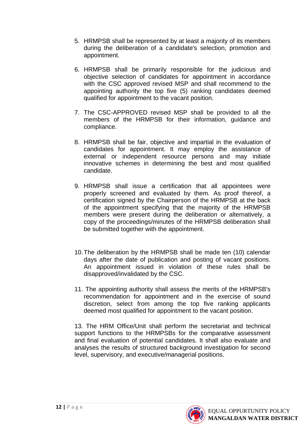- 5. HRMPSB shall be represented by at least a majority of its members during the deliberation of a candidate's selection, promotion and appointment.
- 6. HRMPSB shall be primarily responsible for the judicious and objective selection of candidates for appointment in accordance with the CSC approved revised MSP and shall recommend to the appointing authority the top five (5) ranking candidates deemed qualified for appointment to the vacant position.
- 7. The CSC-APPROVED revised MSP shall be provided to all the members of the HRMPSB for their information, guidance and compliance.
- 8. HRMPSB shall be fair, objective and impartial in the evaluation of candidates for appointment. It may employ the assistance of external or independent resource persons and may initiate innovative schemes in determining the best and most qualified candidate.
- 9. HRMPSB shall issue a certification that all appointees were properly screened and evaluated by them. As proof thereof, a certification signed by the Chairperson of the HRMPSB at the back of the appointment specifying that the majority of the HRMPSB members were present during the deliberation or alternatively, a copy of the proceedings/minutes of the HRMPSB deliberation shall be submitted together with the appointment.
- 10.The deliberation by the HRMPSB shall be made ten (10) calendar days after the date of publication and posting of vacant positions. An appointment issued in violation of these rules shall be disapproved/invalidated by the CSC.
- 11. The appointing authority shall assess the merits of the HRMPSB's recommendation for appointment and in the exercise of sound discretion, select from among the top five ranking applicants deemed most qualified for appointment to the vacant position.

13. The HRM Office/Unit shall perform the secretariat and technical support functions to the HRMPSBs for the comparative assessment and final evaluation of potential candidates. It shall also evaluate and analyses the results of structured background investigation for second level, supervisory, and executive/managerial positions.

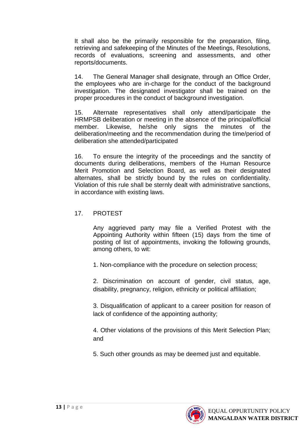It shall also be the primarily responsible for the preparation, filing, retrieving and safekeeping of the Minutes of the Meetings, Resolutions, records of evaluations, screening and assessments, and other reports/documents.

14. The General Manager shall designate, through an Office Order, the employees who are in-charge for the conduct of the background investigation. The designated investigator shall be trained on the proper procedures in the conduct of background investigation.

15. Alternate representatives shall only attend/participate the HRMPSB deliberation or meeting in the absence of the principal/official member. Likewise, he/she only signs the minutes of the deliberation/meeting and the recommendation during the time/period of deliberation she attended/participated

16. To ensure the integrity of the proceedings and the sanctity of documents during deliberations, members of the Human Resource Merit Promotion and Selection Board, as well as their designated alternates, shall be strictly bound by the rules on confidentiality. Violation of this rule shall be sternly dealt with administrative sanctions, in accordance with existing laws.

#### 17. PROTEST

Any aggrieved party may file a Verified Protest with the Appointing Authority within fifteen (15) days from the time of posting of list of appointments, invoking the following grounds, among others, to wit:

1. Non-compliance with the procedure on selection process;

2. Discrimination on account of gender, civil status, age, disability, pregnancy, religion, ethnicity or political affiliation;

3. Disqualification of applicant to a career position for reason of lack of confidence of the appointing authority;

4. Other violations of the provisions of this Merit Selection Plan; and

5. Such other grounds as may be deemed just and equitable.

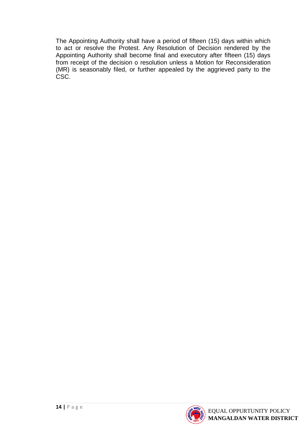The Appointing Authority shall have a period of fifteen (15) days within which to act or resolve the Protest. Any Resolution of Decision rendered by the Appointing Authority shall become final and executory after fifteen (15) days from receipt of the decision o resolution unless a Motion for Reconsideration (MR) is seasonably filed, or further appealed by the aggrieved party to the CSC.

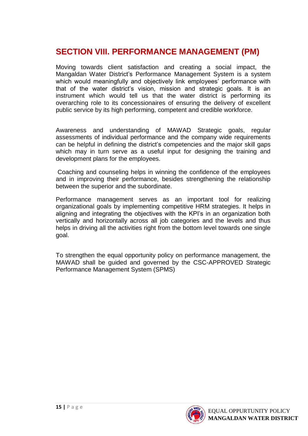## **SECTION VIII. PERFORMANCE MANAGEMENT (PM)**

Moving towards client satisfaction and creating a social impact, the Mangaldan Water District's Performance Management System is a system which would meaningfully and objectively link employees' performance with that of the water district's vision, mission and strategic goals. It is an instrument which would tell us that the water district is performing its overarching role to its concessionaires of ensuring the delivery of excellent public service by its high performing, competent and credible workforce.

Awareness and understanding of MAWAD Strategic goals, regular assessments of individual performance and the company wide requirements can be helpful in defining the district's competencies and the major skill gaps which may in turn serve as a useful input for designing the training and development plans for the employees.

Coaching and counseling helps in winning the confidence of the employees and in improving their performance, besides strengthening the relationship between the superior and the subordinate.

Performance management serves as an important tool for realizing organizational goals by implementing competitive HRM strategies. It helps in aligning and integrating the objectives with the KPI's in an organization both vertically and horizontally across all job categories and the levels and thus helps in driving all the activities right from the bottom level towards one single goal.

To strengthen the equal opportunity policy on performance management, the MAWAD shall be guided and governed by the CSC-APPROVED Strategic Performance Management System (SPMS)

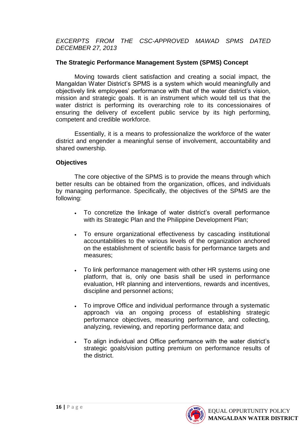#### *EXCERPTS FROM THE CSC-APPROVED MAWAD SPMS DATED DECEMBER 27, 2013*

#### **The Strategic Performance Management System (SPMS) Concept**

Moving towards client satisfaction and creating a social impact, the Mangaldan Water District's SPMS is a system which would meaningfully and objectively link employees' performance with that of the water district's vision, mission and strategic goals. It is an instrument which would tell us that the water district is performing its overarching role to its concessionaires of ensuring the delivery of excellent public service by its high performing, competent and credible workforce.

Essentially, it is a means to professionalize the workforce of the water district and engender a meaningful sense of involvement, accountability and shared ownership.

#### **Objectives**

The core objective of the SPMS is to provide the means through which better results can be obtained from the organization, offices, and individuals by managing performance. Specifically, the objectives of the SPMS are the following:

- To concretize the linkage of water district's overall performance with its Strategic Plan and the Philippine Development Plan;
- To ensure organizational effectiveness by cascading institutional accountabilities to the various levels of the organization anchored on the establishment of scientific basis for performance targets and measures;
- To link performance management with other HR systems using one platform, that is, only one basis shall be used in performance evaluation, HR planning and interventions, rewards and incentives, discipline and personnel actions;
- To improve Office and individual performance through a systematic approach via an ongoing process of establishing strategic performance objectives, measuring performance, and collecting, analyzing, reviewing, and reporting performance data; and
- To align individual and Office performance with the water district's strategic goals/vision putting premium on performance results of the district.

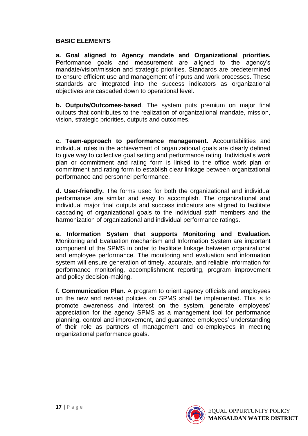#### **BASIC ELEMENTS**

**a. Goal aligned to Agency mandate and Organizational priorities.**  Performance goals and measurement are aligned to the agency's mandate/vision/mission and strategic priorities. Standards are predetermined to ensure efficient use and management of inputs and work processes. These standards are integrated into the success indicators as organizational objectives are cascaded down to operational level.

**b. Outputs/Outcomes-based**. The system puts premium on major final outputs that contributes to the realization of organizational mandate, mission, vision, strategic priorities, outputs and outcomes.

**c. Team-approach to performance management.** Accountabilities and individual roles in the achievement of organizational goals are clearly defined to give way to collective goal setting and performance rating. Individual's work plan or commitment and rating form is linked to the office work plan or commitment and rating form to establish clear linkage between organizational performance and personnel performance.

**d. User-friendly.** The forms used for both the organizational and individual performance are similar and easy to accomplish. The organizational and individual major final outputs and success indicators are aligned to facilitate cascading of organizational goals to the individual staff members and the harmonization of organizational and individual performance ratings.

**e. Information System that supports Monitoring and Evaluation.**  Monitoring and Evaluation mechanism and Information System are important component of the SPMS in order to facilitate linkage between organizational and employee performance. The monitoring and evaluation and information system will ensure generation of timely, accurate, and reliable information for performance monitoring, accomplishment reporting, program improvement and policy decision-making.

**f. Communication Plan.** A program to orient agency officials and employees on the new and revised policies on SPMS shall be implemented. This is to promote awareness and interest on the system, generate employees' appreciation for the agency SPMS as a management tool for performance planning, control and improvement, and guarantee employees' understanding of their role as partners of management and co-employees in meeting organizational performance goals.

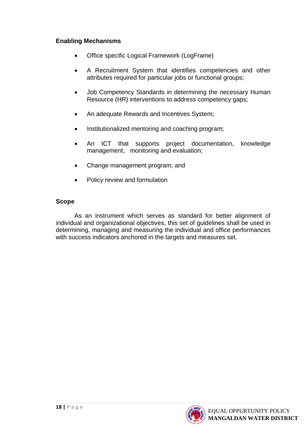#### **Enabling Mechanisms**

- Office specific Logical Framework (LogFrame)
- A Recruitment System that identifies competencies and other attributes required for particular jobs or functional groups;
- Job Competency Standards in determining the necessary Human Resource (HR) interventions to address competency gaps;
- An adequate Rewards and Incentives System;
- Institutionalized mentoring and coaching program;
- An ICT that supports project documentation, knowledge management, monitoring and evaluation;
- Change management program; and
- Policy review and formulation

#### **Scope**

As an instrument which serves as standard for better alignment of individual and organizational objectives, this set of guidelines shall be used in determining, managing and measuring the individual and office performances with success indicators anchored in the targets and measures set.

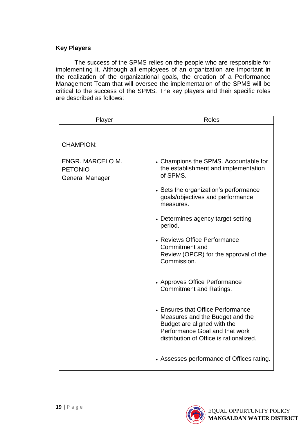#### **Key Players**

The success of the SPMS relies on the people who are responsible for implementing it. Although all employees of an organization are important in the realization of the organizational goals, the creation of a Performance Management Team that will oversee the implementation of the SPMS will be critical to the success of the SPMS. The key players and their specific roles are described as follows:

| Player                                                              | <b>Roles</b>                                                                                                                                                                     |
|---------------------------------------------------------------------|----------------------------------------------------------------------------------------------------------------------------------------------------------------------------------|
| <b>CHAMPION:</b>                                                    |                                                                                                                                                                                  |
| <b>ENGR. MARCELO M.</b><br><b>PETONIO</b><br><b>General Manager</b> | • Champions the SPMS. Accountable for<br>the establishment and implementation<br>of SPMS.                                                                                        |
|                                                                     | • Sets the organization's performance<br>goals/objectives and performance<br>measures.                                                                                           |
|                                                                     | • Determines agency target setting<br>period.                                                                                                                                    |
|                                                                     | • Reviews Office Performance<br>Commitment and<br>Review (OPCR) for the approval of the<br>Commission.                                                                           |
|                                                                     | • Approves Office Performance<br><b>Commitment and Ratings.</b>                                                                                                                  |
|                                                                     | • Ensures that Office Performance<br>Measures and the Budget and the<br>Budget are aligned with the<br>Performance Goal and that work<br>distribution of Office is rationalized. |
|                                                                     | • Assesses performance of Offices rating.                                                                                                                                        |

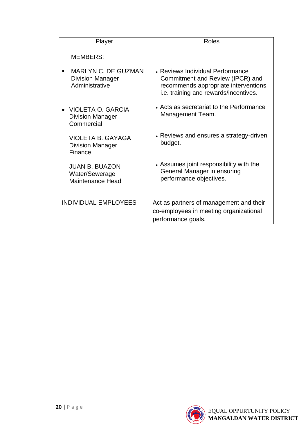| Player                                                                  | Roles                                                                                                                                                 |
|-------------------------------------------------------------------------|-------------------------------------------------------------------------------------------------------------------------------------------------------|
| <b>MEMBERS:</b>                                                         |                                                                                                                                                       |
| <b>MARLYN C. DE GUZMAN</b><br><b>Division Manager</b><br>Administrative | • Reviews Individual Performance<br>Commitment and Review (IPCR) and<br>recommends appropriate interventions<br>i.e. training and rewards/incentives. |
| VIOLETA O. GARCIA<br><b>Division Manager</b><br>Commercial              | • Acts as secretariat to the Performance<br>Management Team.                                                                                          |
| <b>VIOLETA B. GAYAGA</b><br><b>Division Manager</b><br>Finance          | • Reviews and ensures a strategy-driven<br>budget.                                                                                                    |
| <b>JUAN B. BUAZON</b><br>Water/Sewerage<br><b>Maintenance Head</b>      | • Assumes joint responsibility with the<br>General Manager in ensuring<br>performance objectives.                                                     |
| <b>INDIVIDUAL EMPLOYEES</b>                                             | Act as partners of management and their<br>co-employees in meeting organizational<br>performance goals.                                               |

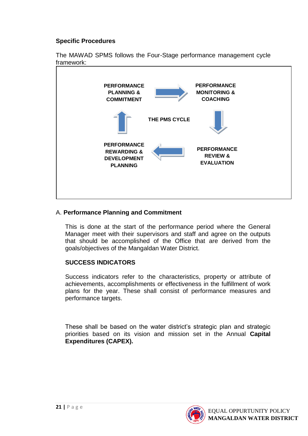#### **Specific Procedures**

The MAWAD SPMS follows the Four-Stage performance management cycle framework:



#### A. **Performance Planning and Commitment**

This is done at the start of the performance period where the General Manager meet with their supervisors and staff and agree on the outputs that should be accomplished of the Office that are derived from the goals/objectives of the Mangaldan Water District.

#### **SUCCESS INDICATORS**

Success indicators refer to the characteristics, property or attribute of achievements, accomplishments or effectiveness in the fulfillment of work plans for the year. These shall consist of performance measures and performance targets.

These shall be based on the water district's strategic plan and strategic priorities based on its vision and mission set in the Annual **Capital Expenditures (CAPEX).**

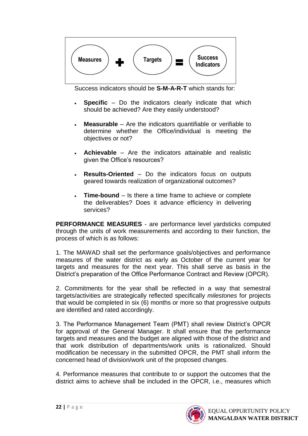

Success indicators should be **S-M-A-R-T** which stands for:

- **Specific** Do the indicators clearly indicate that which should be achieved? Are they easily understood?
- **Measurable** Are the indicators quantifiable or verifiable to determine whether the Office/individual is meeting the objectives or not?
- **Achievable** Are the indicators attainable and realistic given the Office's resources?
- **Results-Oriented** Do the indicators focus on outputs geared towards realization of organizational outcomes?
- **Time-bound** Is there a time frame to achieve or complete the deliverables? Does it advance efficiency in delivering services?

**PERFORMANCE MEASURES** - are performance level yardsticks computed through the units of work measurements and according to their function, the process of which is as follows:

1. The MAWAD shall set the performance goals/objectives and performance measures of the water district as early as October of the current year for targets and measures for the next year. This shall serve as basis in the District's preparation of the Office Performance Contract and Review (OPCR).

2. Commitments for the year shall be reflected in a way that semestral targets/activities are strategically reflected specifically *milestones* for projects that would be completed in six (6) months or more so that progressive outputs are identified and rated accordingly.

3. The Performance Management Team (PMT) shall review District's OPCR for approval of the General Manager. It shall ensure that the performance targets and measures and the budget are aligned with those of the district and that work distribution of departments/work units is rationalized. Should modification be necessary in the submitted OPCR, the PMT shall inform the concerned head of division/work unit of the proposed changes.

4. Performance measures that contribute to or support the outcomes that the district aims to achieve shall be included in the OPCR, i.e., measures which

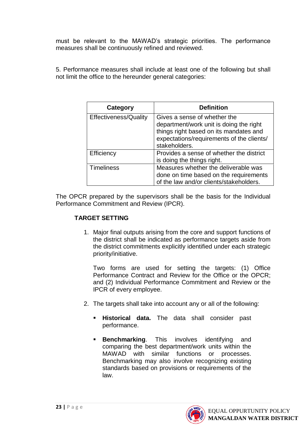must be relevant to the MAWAD's strategic priorities. The performance measures shall be continuously refined and reviewed.

5. Performance measures shall include at least one of the following but shall not limit the office to the hereunder general categories:

| Category                     | <b>Definition</b>                                                                                                                                                               |
|------------------------------|---------------------------------------------------------------------------------------------------------------------------------------------------------------------------------|
| <b>Effectiveness/Quality</b> | Gives a sense of whether the<br>department/work unit is doing the right<br>things right based on its mandates and<br>expectations/requirements of the clients/<br>stakeholders. |
| Efficiency                   | Provides a sense of whether the district<br>is doing the things right.                                                                                                          |
| <b>Timeliness</b>            | Measures whether the deliverable was<br>done on time based on the requirements<br>of the law and/or clients/stakeholders.                                                       |

The OPCR prepared by the supervisors shall be the basis for the Individual Performance Commitment and Review (IPCR).

#### **TARGET SETTING**

1. Major final outputs arising from the core and support functions of the district shall be indicated as performance targets aside from the district commitments explicitly identified under each strategic priority/initiative.

Two forms are used for setting the targets: (1) Office Performance Contract and Review for the Office or the OPCR; and (2) Individual Performance Commitment and Review or the IPCR of every employee.

- 2. The targets shall take into account any or all of the following:
	- **Historical data.** The data shall consider past performance.
	- **Example 1 Benchmarking**. This involves identifying and comparing the best department/work units within the MAWAD with similar functions or processes. Benchmarking may also involve recognizing existing standards based on provisions or requirements of the law.

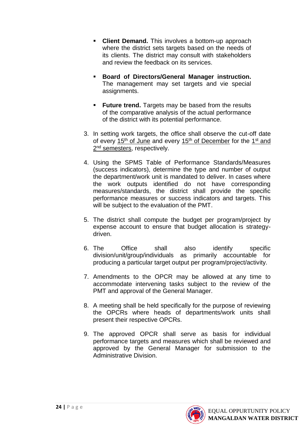- **Client Demand.** This involves a bottom-up approach where the district sets targets based on the needs of its clients. The district may consult with stakeholders and review the feedback on its services.
- **Board of Directors/General Manager instruction.** The management may set targets and vie special assignments.
- **Future trend.** Targets may be based from the results of the comparative analysis of the actual performance of the district with its potential performance.
- 3. In setting work targets, the office shall observe the cut-off date of every 15<sup>th</sup> of June and every 15<sup>th</sup> of December for the 1<sup>st</sup> and 2<sup>nd</sup> semesters, respectively.
- 4. Using the SPMS Table of Performance Standards/Measures (success indicators), determine the type and number of output the department/work unit is mandated to deliver. In cases where the work outputs identified do not have corresponding measures/standards, the district shall provide the specific performance measures or success indicators and targets. This will be subject to the evaluation of the PMT.
- 5. The district shall compute the budget per program/project by expense account to ensure that budget allocation is strategydriven.
- 6. The Office shall also identify specific division/unit/group/individuals as primarily accountable for producing a particular target output per program/project/activity.
- 7. Amendments to the OPCR may be allowed at any time to accommodate intervening tasks subject to the review of the PMT and approval of the General Manager.
- 8. A meeting shall be held specifically for the purpose of reviewing the OPCRs where heads of departments/work units shall present their respective OPCRs.
- 9. The approved OPCR shall serve as basis for individual performance targets and measures which shall be reviewed and approved by the General Manager for submission to the Administrative Division.

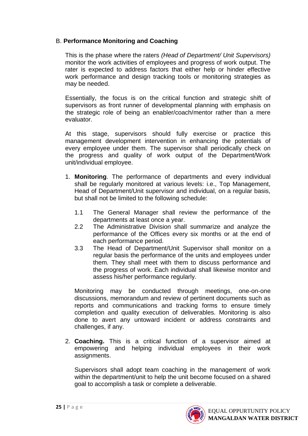#### B. **Performance Monitoring and Coaching**

This is the phase where the raters *(Head of Department/ Unit Supervisors)* monitor the work activities of employees and progress of work output. The rater is expected to address factors that either help or hinder effective work performance and design tracking tools or monitoring strategies as may be needed.

Essentially, the focus is on the critical function and strategic shift of supervisors as front runner of developmental planning with emphasis on the strategic role of being an enabler/coach/mentor rather than a mere evaluator.

At this stage, supervisors should fully exercise or practice this management development intervention in enhancing the potentials of every employee under them. The supervisor shall periodically check on the progress and quality of work output of the Department/Work unit/individual employee.

- 1. **Monitoring**. The performance of departments and every individual shall be regularly monitored at various levels: i.e., Top Management, Head of Department/Unit supervisor and individual, on a regular basis, but shall not be limited to the following schedule:
	- 1.1 The General Manager shall review the performance of the departments at least once a year.
	- 2.2 The Administrative Division shall summarize and analyze the performance of the Offices every six months or at the end of each performance period.
	- 3.3 The Head of Department/Unit Supervisor shall monitor on a regular basis the performance of the units and employees under them. They shall meet with them to discuss performance and the progress of work. Each individual shall likewise monitor and assess his/her performance regularly.

Monitoring may be conducted through meetings, one-on-one discussions, memorandum and review of pertinent documents such as reports and communications and tracking forms to ensure timely completion and quality execution of deliverables. Monitoring is also done to avert any untoward incident or address constraints and challenges, if any.

2. **Coaching.** This is a critical function of a supervisor aimed at empowering and helping individual employees in their work assignments.

Supervisors shall adopt team coaching in the management of work within the department/unit to help the unit become focused on a shared goal to accomplish a task or complete a deliverable.

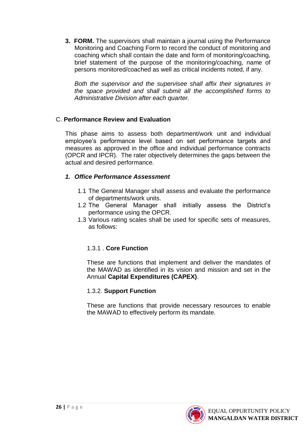**3. FORM.** The supervisors shall maintain a journal using the Performance Monitoring and Coaching Form to record the conduct of monitoring and coaching which shall contain the date and form of monitoring/coaching, brief statement of the purpose of the monitoring/coaching, name of persons monitored/coached as well as critical incidents noted, if any.

*Both the supervisor and the supervisee shall affix their signatures in the space provided and shall submit all the accomplished forms to Administrative Division after each quarter.*

#### C. **Performance Review and Evaluation**

This phase aims to assess both department/work unit and individual employee's performance level based on set performance targets and measures as approved in the office and individual performance contracts (OPCR and IPCR). The rater objectively determines the gaps between the actual and desired performance.

#### *1. Office Performance Assessment*

- 1.1 The General Manager shall assess and evaluate the performance of departments/work units.
- 1.2 The General Manager shall initially assess the District's performance using the OPCR.
- 1.3 Various rating scales shall be used for specific sets of measures, as follows:

#### 1.3.1 . **Core Function**

These are functions that implement and deliver the mandates of the MAWAD as identified in its vision and mission and set in the Annual **Capital Expenditures (CAPEX)**.

#### 1.3.2. **Support Function**

These are functions that provide necessary resources to enable the MAWAD to effectively perform its mandate.

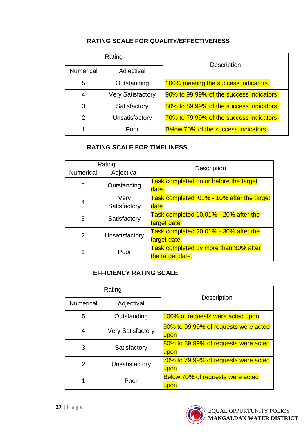## **RATING SCALE FOR QUALITY/EFFECTIVENESS**

| Rating           |                          |                                             |  |
|------------------|--------------------------|---------------------------------------------|--|
| <b>Numerical</b> | Adjectival               | <b>Description</b>                          |  |
| 5                | Outstanding              | 100% meeting the success indicators.        |  |
| 4                | <b>Very Satisfactory</b> | 90% to 99.99% of the success indicators.    |  |
| 3                | Satisfactory             | 80% to 89.99% of the success indicators.    |  |
| 2                | Unsatisfactory           | 70% to 79.99% of the success indicators.    |  |
|                  | Poor                     | <b>Below 70% of the success indicators.</b> |  |

## **RATING SCALE FOR TIMELINESS**

| Rating         |                |                                            |  |
|----------------|----------------|--------------------------------------------|--|
| Numerical      | Adjectival     | <b>Description</b>                         |  |
| 5              | Outstanding    | Task completed on or before the target     |  |
|                |                | date.                                      |  |
| Very<br>4      |                | Task completed .01% - 10% after the target |  |
|                | Satisfactory   | date                                       |  |
| 3              | Satisfactory   | Task completed 10.01% - 20% after the      |  |
|                |                | target date.                               |  |
| $\overline{2}$ | Unsatisfactory | Task completed 20.01% - 30% after the      |  |
|                |                | target date.                               |  |
|                | Poor           | Task completed by more than 30% after      |  |
|                |                | the target date.                           |  |

## **EFFICIENCY RATING SCALE**

| Rating    |                          |                                                 |
|-----------|--------------------------|-------------------------------------------------|
| Numerical | Adjectival               | <b>Description</b>                              |
| 5         | Outstanding              | 100% of requests were acted upon                |
| 4         | <b>Very Satisfactory</b> | 90% to 99.99% of requests were acted<br>upon    |
| 3         | Satisfactory             | 80% to 89.99% of requests were acted<br>upon    |
| 2         | Unsatisfactory           | 70% to 79.99% of requests were acted<br>upon    |
|           | Poor                     | <b>Below 70% of requests were acted</b><br>upon |

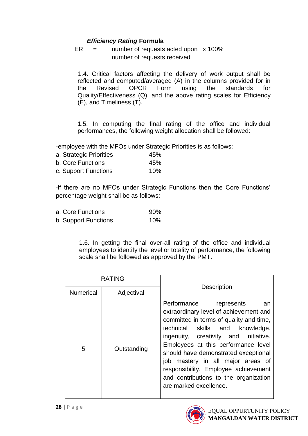#### *Efficiency Rating* **Formula**

#### $ER =$  number of requests acted upon  $x$  100% number of requests received

 1.4. Critical factors affecting the delivery of work output shall be reflected and computed/averaged (A) in the columns provided for in the Revised OPCR Form using the standards for Quality/Effectiveness (Q), and the above rating scales for Efficiency (E), and Timeliness (T).

1.5. In computing the final rating of the office and individual performances, the following weight allocation shall be followed:

-employee with the MFOs under Strategic Priorities is as follows:

| a. Strategic Priorities | 45% |
|-------------------------|-----|
| b. Core Functions       | 45% |
| c. Support Functions    | 10% |

-if there are no MFOs under Strategic Functions then the Core Functions' percentage weight shall be as follows:

| a. Core Functions    | 90% |
|----------------------|-----|
| b. Support Functions | 10% |

1.6. In getting the final over-all rating of the office and individual employees to identify the level or totality of performance, the following scale shall be followed as approved by the PMT.

| <b>RATING</b>    |             |                                                                                                                                                                                                                                                                                                                                                                                                                                    |  |
|------------------|-------------|------------------------------------------------------------------------------------------------------------------------------------------------------------------------------------------------------------------------------------------------------------------------------------------------------------------------------------------------------------------------------------------------------------------------------------|--|
| <b>Numerical</b> | Adjectival  | <b>Description</b>                                                                                                                                                                                                                                                                                                                                                                                                                 |  |
| 5                | Outstanding | Performance<br>represents<br>an<br>extraordinary level of achievement and<br>committed in terms of quality and time,<br>technical skills and<br>knowledge,<br>ingenuity, creativity and initiative.<br>Employees at this performance level<br>should have demonstrated exceptional<br>job mastery in all major areas of<br>responsibility. Employee achievement<br>and contributions to the organization<br>are marked excellence. |  |

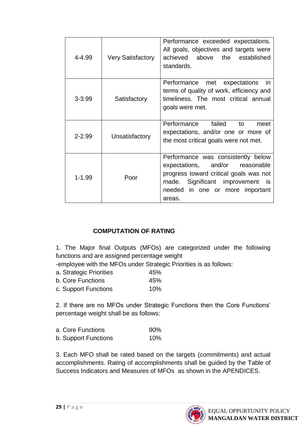| 4-4.99     | <b>Very Satisfactory</b> | Performance exceeded expectations.<br>All goals, objectives and targets were<br>achieved above the established<br>standards.                                                                                 |
|------------|--------------------------|--------------------------------------------------------------------------------------------------------------------------------------------------------------------------------------------------------------|
| $3 - 3.99$ | Satisfactory             | Performance met expectations<br>in<br>terms of quality of work, efficiency and<br>timeliness. The most critical annual<br>goals were met.                                                                    |
| $2 - 2.99$ | Unsatisfactory           | Performance<br>failed<br>to<br>meet<br>expectations, and/or one or more of<br>the most critical goals were not met.                                                                                          |
| $1 - 1.99$ | Poor                     | Performance was consistently below<br>expectations,<br>and/or reasonable<br>progress toward critical goals was not<br>Significant improvement<br>made.<br>is<br>needed<br>in one or more important<br>areas. |

#### **COMPUTATION OF RATING**

1. The Major final Outputs (MFOs) are categorized under the following functions and are assigned percentage weight

-employee with the MFOs under Strategic Priorities is as follows:

- a. Strategic Priorities 45% b. Core Functions 45%
- c. Support Functions 10%

2. If there are no MFOs under Strategic Functions then the Core Functions' percentage weight shall be as follows:

| a. Core Functions    | 90%    |
|----------------------|--------|
| b. Support Functions | $10\%$ |

3. Each MFO shall be rated based on the targets (commitments) and actual accomplishments. Rating of accomplishments shall be guided by the Table of Success Indicators and Measures of MFOs as shown in the APENDICES.

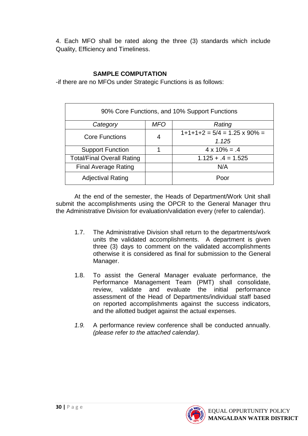4. Each MFO shall be rated along the three (3) standards which include Quality, Efficiency and Timeliness.

#### **SAMPLE COMPUTATION**

-if there are no MFOs under Strategic Functions is as follows:

| 90% Core Functions, and 10% Support Functions |     |                                               |  |
|-----------------------------------------------|-----|-----------------------------------------------|--|
| Category                                      | MFO | Rating                                        |  |
| <b>Core Functions</b>                         | 4   | $1+1+1+2 = 5/4 = 1.25 \times 90\% =$<br>1.125 |  |
| <b>Support Function</b>                       |     | $4 \times 10\% = .4$                          |  |
| <b>Total/Final Overall Rating</b>             |     | $1.125 + .4 = 1.525$                          |  |
| <b>Final Average Rating</b>                   |     | N/A                                           |  |
| <b>Adjectival Rating</b>                      |     | Poor                                          |  |

At the end of the semester, the Heads of Department/Work Unit shall submit the accomplishments using the OPCR to the General Manager thru the Administrative Division for evaluation/validation every (refer to calendar).

- 1.7. The Administrative Division shall return to the departments/work units the validated accomplishments. A department is given three (3) days to comment on the validated accomplishments otherwise it is considered as final for submission to the General Manager.
- 1.8. To assist the General Manager evaluate performance, the Performance Management Team (PMT) shall consolidate, review, validate and evaluate the initial performance assessment of the Head of Departments/individual staff based on reported accomplishments against the success indicators, and the allotted budget against the actual expenses.
- *1.9.* A performance review conference shall be conducted annually. *(please refer to the attached calendar).*

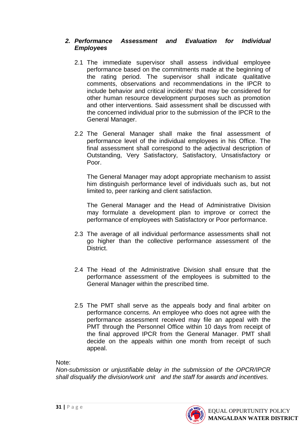#### *2. Performance Assessment and Evaluation for Individual Employees*

- 2.1 The immediate supervisor shall assess individual employee performance based on the commitments made at the beginning of the rating period. The supervisor shall indicate qualitative comments, observations and recommendations in the IPCR to include behavior and critical incidents<sup>i</sup> that may be considered for other human resource development purposes such as promotion and other interventions. Said assessment shall be discussed with the concerned individual prior to the submission of the IPCR to the General Manager.
- 2.2 The General Manager shall make the final assessment of performance level of the individual employees in his Office. The final assessment shall correspond to the adjectival description of Outstanding, Very Satisfactory, Satisfactory, Unsatisfactory or Poor.

The General Manager may adopt appropriate mechanism to assist him distinguish performance level of individuals such as, but not limited to, peer ranking and client satisfaction.

The General Manager and the Head of Administrative Division may formulate a development plan to improve or correct the performance of employees with Satisfactory or Poor performance.

- 2.3 The average of all individual performance assessments shall not go higher than the collective performance assessment of the District.
- 2.4 The Head of the Administrative Division shall ensure that the performance assessment of the employees is submitted to the General Manager within the prescribed time.
- 2.5 The PMT shall serve as the appeals body and final arbiter on performance concerns. An employee who does not agree with the performance assessment received may file an appeal with the PMT through the Personnel Office within 10 days from receipt of the final approved IPCR from the General Manager. PMT shall decide on the appeals within one month from receipt of such appeal.

Note:

*Non-submission or unjustifiable delay in the submission of the OPCR/IPCR shall disqualify the division/work unit and the staff for awards and incentives.*

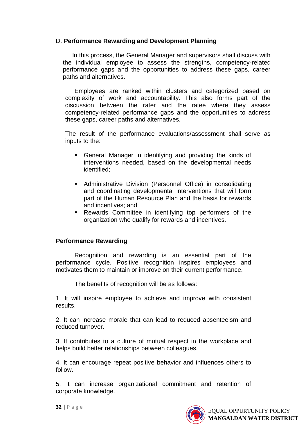#### D. **Performance Rewarding and Development Planning**

In this process, the General Manager and supervisors shall discuss with the individual employee to assess the strengths, competency-related performance gaps and the opportunities to address these gaps, career paths and alternatives.

Employees are ranked within clusters and categorized based on complexity of work and accountability. This also forms part of the discussion between the rater and the ratee where they assess competency-related performance gaps and the opportunities to address these gaps, career paths and alternatives.

The result of the performance evaluations/assessment shall serve as inputs to the:

- General Manager in identifying and providing the kinds of interventions needed, based on the developmental needs identified;
- Administrative Division (Personnel Office) in consolidating and coordinating developmental interventions that will form part of the Human Resource Plan and the basis for rewards and incentives; and
- Rewards Committee in identifying top performers of the organization who qualify for rewards and incentives.

#### **Performance Rewarding**

Recognition and rewarding is an essential part of the performance cycle. Positive recognition inspires employees and motivates them to maintain or improve on their current performance.

The benefits of recognition will be as follows:

1. It will inspire employee to achieve and improve with consistent results.

2. It can increase morale that can lead to reduced absenteeism and reduced turnover.

3. It contributes to a culture of mutual respect in the workplace and helps build better relationships between colleagues.

4. It can encourage repeat positive behavior and influences others to follow.

5. It can increase organizational commitment and retention of corporate knowledge.

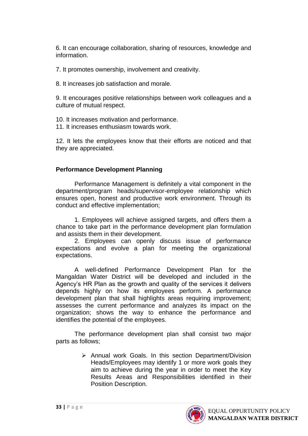6. It can encourage collaboration, sharing of resources, knowledge and information.

7. It promotes ownership, involvement and creativity.

8. It increases job satisfaction and morale.

9. It encourages positive relationships between work colleagues and a culture of mutual respect.

10. It increases motivation and performance.

11. It increases enthusiasm towards work.

12. It lets the employees know that their efforts are noticed and that they are appreciated.

## **Performance Development Planning**

Performance Management is definitely a vital component in the department/program heads/supervisor-employee relationship which ensures open, honest and productive work environment. Through its conduct and effective implementation;

1. Employees will achieve assigned targets, and offers them a chance to take part in the performance development plan formulation and assists them in their development.

2. Employees can openly discuss issue of performance expectations and evolve a plan for meeting the organizational expectations.

A well-defined Performance Development Plan for the Mangaldan Water District will be developed and included in the Agency's HR Plan as the growth and quality of the services it delivers depends highly on how its employees perform. A performance development plan that shall highlights areas requiring improvement; assesses the current performance and analyzes its impact on the organization; shows the way to enhance the performance and identifies the potential of the employees.

The performance development plan shall consist two major parts as follows;

> ➢ Annual work Goals. In this section Department/Division Heads/Employees may identify 1 or more work goals they aim to achieve during the year in order to meet the Key Results Areas and Responsibilities identified in their Position Description.

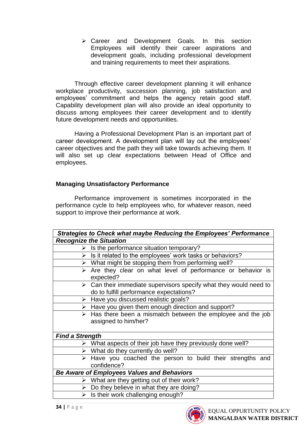➢ Career and Development Goals. In this section Employees will identify their career aspirations and development goals, including professional development and training requirements to meet their aspirations.

Through effective career development planning it will enhance workplace productivity, succession planning, job satisfaction and employees' commitment and helps the agency retain good staff. Capability development plan will also provide an ideal opportunity to discuss among employees their career development and to identify future development needs and opportunities.

Having a Professional Development Plan is an important part of career development. A development plan will lay out the employees' career objectives and the path they will take towards achieving them. It will also set up clear expectations between Head of Office and employees.

#### **Managing Unsatisfactory Performance**

Performance improvement is sometimes incorporated in the performance cycle to help employees who, for whatever reason, need support to improve their performance at work.

| Strategies to Check what maybe Reducing the Employees' Performance |                                                                                                                             |  |
|--------------------------------------------------------------------|-----------------------------------------------------------------------------------------------------------------------------|--|
|                                                                    | <b>Recognize the Situation</b>                                                                                              |  |
|                                                                    | $\triangleright$ Is the performance situation temporary?                                                                    |  |
|                                                                    | $\triangleright$ Is it related to the employees' work tasks or behaviors?                                                   |  |
|                                                                    | $\triangleright$ What might be stopping them from performing well?                                                          |  |
|                                                                    | $\triangleright$ Are they clear on what level of performance or behavior is<br>expected?                                    |  |
|                                                                    | $\triangleright$ Can their immediate supervisors specify what they would need to<br>do to fulfill performance expectations? |  |
|                                                                    | $\triangleright$ Have you discussed realistic goals?                                                                        |  |
|                                                                    | $\triangleright$ Have you given them enough direction and support?                                                          |  |
|                                                                    | $\triangleright$ Has there been a mismatch between the employee and the job<br>assigned to him/her?                         |  |
| <b>Find a Strength</b>                                             |                                                                                                                             |  |
|                                                                    | $\triangleright$ What aspects of their job have they previously done well?                                                  |  |
|                                                                    | $\triangleright$ What do they currently do well?                                                                            |  |
|                                                                    | $\triangleright$ Have you coached the person to build their strengths and<br>confidence?                                    |  |
| <b>Be Aware of Employees Values and Behaviors</b>                  |                                                                                                                             |  |
|                                                                    | $\triangleright$ What are they getting out of their work?                                                                   |  |
|                                                                    | $\triangleright$ Do they believe in what they are doing?                                                                    |  |
| ≻                                                                  | Is their work challenging enough?                                                                                           |  |

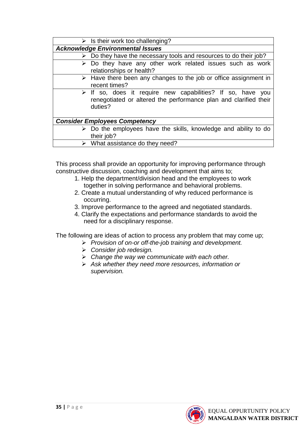|                                         | $\triangleright$ Is their work too challenging?                                  |  |
|-----------------------------------------|----------------------------------------------------------------------------------|--|
| <b>Acknowledge Environmental Issues</b> |                                                                                  |  |
|                                         | $\triangleright$ Do they have the necessary tools and resources to do their job? |  |
|                                         | $\triangleright$ Do they have any other work related issues such as work         |  |
|                                         | relationships or health?                                                         |  |
|                                         | $\triangleright$ Have there been any changes to the job or office assignment in  |  |
|                                         | recent times?                                                                    |  |
|                                         | $\triangleright$ If so, does it require new capabilities? If so, have you        |  |
|                                         | renegotiated or altered the performance plan and clarified their                 |  |
|                                         | duties?                                                                          |  |
|                                         |                                                                                  |  |
| <b>Consider Employees Competency</b>    |                                                                                  |  |
|                                         | $\triangleright$ Do the employees have the skills, knowledge and ability to do   |  |
|                                         | their job?                                                                       |  |
|                                         | $\triangleright$ What assistance do they need?                                   |  |

This process shall provide an opportunity for improving performance through constructive discussion, coaching and development that aims to;

- 1. Help the department/division head and the employees to work together in solving performance and behavioral problems.
- 2. Create a mutual understanding of why reduced performance is occurring.
- 3. Improve performance to the agreed and negotiated standards.
- 4. Clarify the expectations and performance standards to avoid the need for a disciplinary response.

The following are ideas of action to process any problem that may come up;

- ➢ *Provision of on-or off-the-job training and development.*
	- ➢ *Consider job redesign.*
	- ➢ *Change the way we communicate with each other.*
	- ➢ *Ask whether they need more resources, information or supervision.*

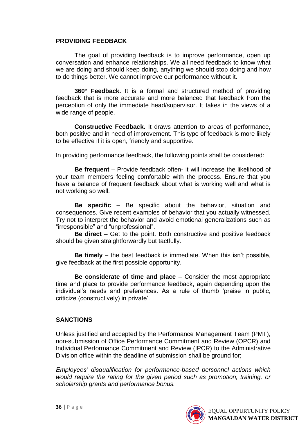#### **PROVIDING FEEDBACK**

The goal of providing feedback is to improve performance, open up conversation and enhance relationships. We all need feedback to know what we are doing and should keep doing, anything we should stop doing and how to do things better. We cannot improve our performance without it.

**360° Feedback.** It is a formal and structured method of providing feedback that is more accurate and more balanced that feedback from the perception of only the immediate head/supervisor. It takes in the views of a wide range of people.

**Constructive Feedback.** It draws attention to areas of performance, both positive and in need of improvement. This type of feedback is more likely to be effective if it is open, friendly and supportive.

In providing performance feedback, the following points shall be considered:

**Be frequent** – Provide feedback often- it will increase the likelihood of your team members feeling comfortable with the process. Ensure that you have a balance of frequent feedback about what is working well and what is not working so well.

**Be specific** – Be specific about the behavior, situation and consequences. Give recent examples of behavior that you actually witnessed. Try not to interpret the behavior and avoid emotional generalizations such as "irresponsible" and "unprofessional".

**Be direct** – Get to the point. Both constructive and positive feedback should be given straightforwardly but tactfully.

**Be timely** – the best feedback is immediate. When this isn't possible, give feedback at the first possible opportunity.

**Be considerate of time and place** – Consider the most appropriate time and place to provide performance feedback, again depending upon the individual's needs and preferences. As a rule of thumb 'praise in public, criticize (constructively) in private'.

#### **SANCTIONS**

Unless justified and accepted by the Performance Management Team (PMT), non-submission of Office Performance Commitment and Review (OPCR) and Individual Performance Commitment and Review (IPCR) to the Administrative Division office within the deadline of submission shall be ground for;

*Employees' disqualification for performance-based personnel actions which would require the rating for the given period such as promotion, training, or scholarship grants and performance bonus.*

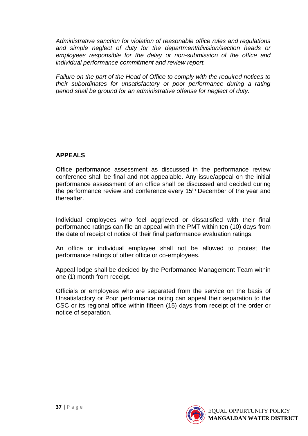*Administrative sanction for violation of reasonable office rules and regulations and simple neglect of duty for the department/division/section heads or employees responsible for the delay or non-submission of the office and individual performance commitment and review report.*

*Failure on the part of the Head of Office to comply with the required notices to their subordinates for unsatisfactory or poor performance during a rating period shall be ground for an administrative offense for neglect of duty.*

#### **APPEALS**

Office performance assessment as discussed in the performance review conference shall be final and not appealable. Any issue/appeal on the initial performance assessment of an office shall be discussed and decided during the performance review and conference every 15<sup>th</sup> December of the year and thereafter.

Individual employees who feel aggrieved or dissatisfied with their final performance ratings can file an appeal with the PMT within ten (10) days from the date of receipt of notice of their final performance evaluation ratings.

An office or individual employee shall not be allowed to protest the performance ratings of other office or co-employees.

Appeal lodge shall be decided by the Performance Management Team within one (1) month from receipt.

Officials or employees who are separated from the service on the basis of Unsatisfactory or Poor performance rating can appeal their separation to the CSC or its regional office within fifteen (15) days from receipt of the order or notice of separation.



1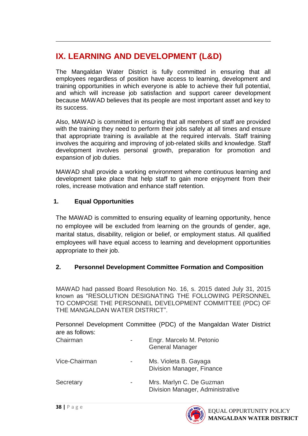# **IX. LEARNING AND DEVELOPMENT (L&D)**

The Mangaldan Water District is fully committed in ensuring that all employees regardless of position have access to learning, development and training opportunities in which everyone is able to achieve their full potential, and which will increase job satisfaction and support career development because MAWAD believes that its people are most important asset and key to its success.

Also, MAWAD is committed in ensuring that all members of staff are provided with the training they need to perform their jobs safely at all times and ensure that appropriate training is available at the required intervals. Staff training involves the acquiring and improving of job-related skills and knowledge. Staff development involves personal growth, preparation for promotion and expansion of job duties.

MAWAD shall provide a working environment where continuous learning and development take place that help staff to gain more enjoyment from their roles, increase motivation and enhance staff retention.

#### **1. Equal Opportunities**

1

The MAWAD is committed to ensuring equality of learning opportunity, hence no employee will be excluded from learning on the grounds of gender, age, marital status, disability, religion or belief, or employment status. All qualified employees will have equal access to learning and development opportunities appropriate to their job.

#### **2. Personnel Development Committee Formation and Composition**

MAWAD had passed Board Resolution No. 16, s. 2015 dated July 31, 2015 known as "RESOLUTION DESIGNATING THE FOLLOWING PERSONNEL TO COMPOSE THE PERSONNEL DEVELOPMENT COMMITTEE (PDC) OF THE MANGALDAN WATER DISTRICT".

Personnel Development Committee (PDC) of the Mangaldan Water District are as follows:

| Chairman      | Engr. Marcelo M. Petonio<br><b>General Manager</b>           |
|---------------|--------------------------------------------------------------|
| Vice-Chairman | Ms. Violeta B. Gayaga<br>Division Manager, Finance           |
| Secretary     | Mrs. Marlyn C. De Guzman<br>Division Manager, Administrative |

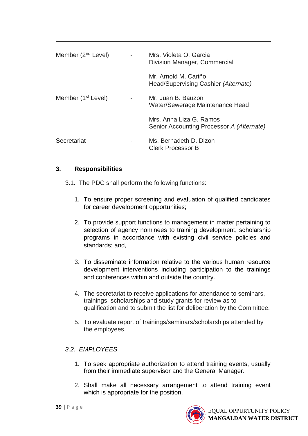| Member $(2nd Level)$           | Mrs. Violeta O. Garcia<br>Division Manager, Commercial               |
|--------------------------------|----------------------------------------------------------------------|
|                                | Mr. Arnold M. Cariño<br>Head/Supervising Cashier (Alternate)         |
| Member (1 <sup>st</sup> Level) | Mr. Juan B. Bauzon<br>Water/Sewerage Maintenance Head                |
|                                | Mrs. Anna Liza G. Ramos<br>Senior Accounting Processor A (Alternate) |
| Secretariat                    | Ms. Bernadeth D. Dizon<br><b>Clerk Processor B</b>                   |

#### **3. Responsibilities**

1

- 3.1. The PDC shall perform the following functions:
	- 1. To ensure proper screening and evaluation of qualified candidates for career development opportunities;
	- 2. To provide support functions to management in matter pertaining to selection of agency nominees to training development, scholarship programs in accordance with existing civil service policies and standards; and,
	- 3. To disseminate information relative to the various human resource development interventions including participation to the trainings and conferences within and outside the country.
	- 4. The secretariat to receive applications for attendance to seminars, trainings, scholarships and study grants for review as to qualification and to submit the list for deliberation by the Committee.
	- 5. To evaluate report of trainings/seminars/scholarships attended by the employees.

#### *3.2. EMPLOYEES*

- 1. To seek appropriate authorization to attend training events, usually from their immediate supervisor and the General Manager.
- 2. Shall make all necessary arrangement to attend training event which is appropriate for the position.

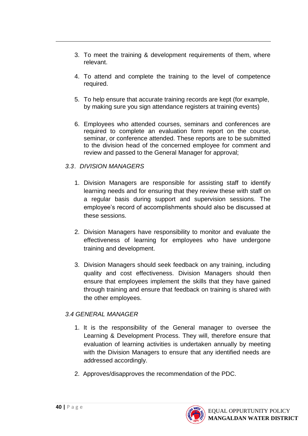- 3. To meet the training & development requirements of them, where relevant.
- 4. To attend and complete the training to the level of competence required.
- 5. To help ensure that accurate training records are kept (for example, by making sure you sign attendance registers at training events)
- 6. Employees who attended courses, seminars and conferences are required to complete an evaluation form report on the course, seminar, or conference attended. These reports are to be submitted to the division head of the concerned employee for comment and review and passed to the General Manager for approval;

#### *3.3. DIVISION MANAGERS*

1

- 1. Division Managers are responsible for assisting staff to identify learning needs and for ensuring that they review these with staff on a regular basis during support and supervision sessions. The employee's record of accomplishments should also be discussed at these sessions.
- 2. Division Managers have responsibility to monitor and evaluate the effectiveness of learning for employees who have undergone training and development.
- 3. Division Managers should seek feedback on any training, including quality and cost effectiveness. Division Managers should then ensure that employees implement the skills that they have gained through training and ensure that feedback on training is shared with the other employees.

#### *3.4 GENERAL MANAGER*

- 1. It is the responsibility of the General manager to oversee the Learning & Development Process. They will, therefore ensure that evaluation of learning activities is undertaken annually by meeting with the Division Managers to ensure that any identified needs are addressed accordingly.
- 2. Approves/disapproves the recommendation of the PDC.

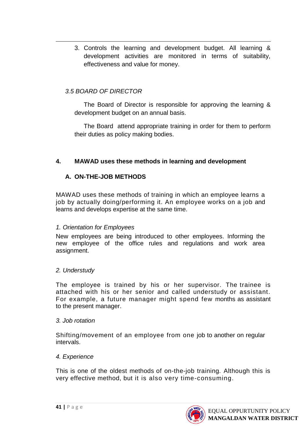3. Controls the learning and development budget. All learning & development activities are monitored in terms of suitability, effectiveness and value for money.

#### *3.5 BOARD OF DIRECTOR*

1

The Board of Director is responsible for approving the learning & development budget on an annual basis.

The Board attend appropriate training in order for them to perform their duties as policy making bodies.

#### **4. MAWAD uses these methods in learning and development**

#### **A. ON-THE-JOB METHODS**

MAWAD uses these methods of training in which an employee learns a job by actually doing/performing it. An employee works on a job and learns and develops expertise at the same time.

#### *1. Orientation for Employees*

New employees are being introduced to other employees. Informing the new employee of the office rules and regulations and work area assignment.

#### *2. Understudy*

The employee is trained by his or her supervisor. The trainee is attached with his or her senior and called understudy or assistant. For example, a future manager might spend few months as assistant to the present manager.

#### *3. Job rotation*

Shifting/movement of an employee from one job to another on regular intervals.

#### *4. Experience*

This is one of the oldest methods of on-the-job training. Although this is very effective method, but it is also very time-consuming.

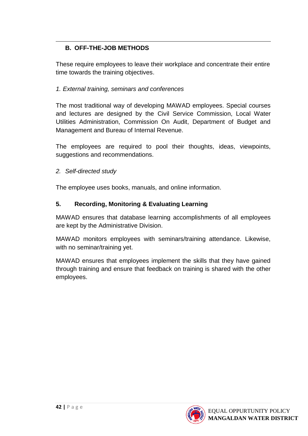## **B. OFF-THE-JOB METHODS**

1

These require employees to leave their workplace and concentrate their entire time towards the training objectives.

## *1. External training, seminars and conferences*

The most traditional way of developing MAWAD employees. Special courses and lectures are designed by the Civil Service Commission, Local Water Utilities Administration, Commission On Audit, Department of Budget and Management and Bureau of Internal Revenue.

The employees are required to pool their thoughts, ideas, viewpoints, suggestions and recommendations.

*2. Self-directed study* 

The employee uses books, manuals, and online information.

#### **5. Recording, Monitoring & Evaluating Learning**

MAWAD ensures that database learning accomplishments of all employees are kept by the Administrative Division.

MAWAD monitors employees with seminars/training attendance. Likewise, with no seminar/training yet.

MAWAD ensures that employees implement the skills that they have gained through training and ensure that feedback on training is shared with the other employees.

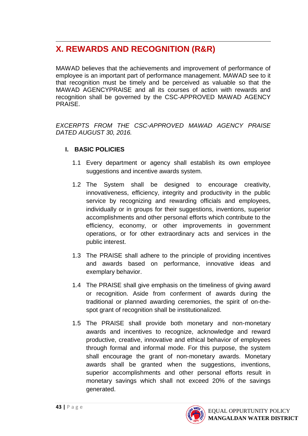#### 1 **X. REWARDS AND RECOGNITION (R&R)**

MAWAD believes that the achievements and improvement of performance of employee is an important part of performance management. MAWAD see to it that recognition must be timely and be perceived as valuable so that the MAWAD AGENCYPRAISE and all its courses of action with rewards and recognition shall be governed by the CSC-APPROVED MAWAD AGENCY PRAISE.

*EXCERPTS FROM THE CSC-APPROVED MAWAD AGENCY PRAISE DATED AUGUST 30, 2016.*

#### **I. BASIC POLICIES**

- 1.1 Every department or agency shall establish its own employee suggestions and incentive awards system.
- 1.2 The System shall be designed to encourage creativity, innovativeness, efficiency, integrity and productivity in the public service by recognizing and rewarding officials and employees, individually or in groups for their suggestions, inventions, superior accomplishments and other personal efforts which contribute to the efficiency, economy, or other improvements in government operations, or for other extraordinary acts and services in the public interest.
- 1.3 The PRAISE shall adhere to the principle of providing incentives and awards based on performance, innovative ideas and exemplary behavior.
- 1.4 The PRAISE shall give emphasis on the timeliness of giving award or recognition. Aside from conferment of awards during the traditional or planned awarding ceremonies, the spirit of on-thespot grant of recognition shall be institutionalized.
- 1.5 The PRAISE shall provide both monetary and non-monetary awards and incentives to recognize, acknowledge and reward productive, creative, innovative and ethical behavior of employees through formal and informal mode. For this purpose, the system shall encourage the grant of non-monetary awards. Monetary awards shall be granted when the suggestions, inventions, superior accomplishments and other personal efforts result in monetary savings which shall not exceed 20% of the savings generated.

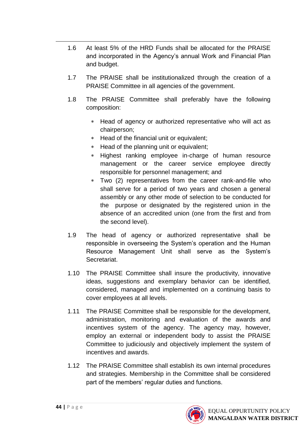- 1.6 At least 5% of the HRD Funds shall be allocated for the PRAISE and incorporated in the Agency's annual Work and Financial Plan and budget.
- 1.7 The PRAISE shall be institutionalized through the creation of a PRAISE Committee in all agencies of the government.
- 1.8 The PRAISE Committee shall preferably have the following composition:
	- Head of agency or authorized representative who will act as chairperson;
	- Head of the financial unit or equivalent;
	- Head of the planning unit or equivalent;
	- Highest ranking employee in-charge of human resource management or the career service employee directly responsible for personnel management; and
	- Two (2) representatives from the career rank-and-file who shall serve for a period of two years and chosen a general assembly or any other mode of selection to be conducted for the purpose or designated by the registered union in the absence of an accredited union (one from the first and from the second level).
- 1.9 The head of agency or authorized representative shall be responsible in overseeing the System's operation and the Human Resource Management Unit shall serve as the System's **Secretariat.**
- 1.10 The PRAISE Committee shall insure the productivity, innovative ideas, suggestions and exemplary behavior can be identified, considered, managed and implemented on a continuing basis to cover employees at all levels.
- 1.11 The PRAISE Committee shall be responsible for the development, administration, monitoring and evaluation of the awards and incentives system of the agency. The agency may, however, employ an external or independent body to assist the PRAISE Committee to judiciously and objectively implement the system of incentives and awards.
- 1.12 The PRAISE Committee shall establish its own internal procedures and strategies. Membership in the Committee shall be considered part of the members' regular duties and functions.



1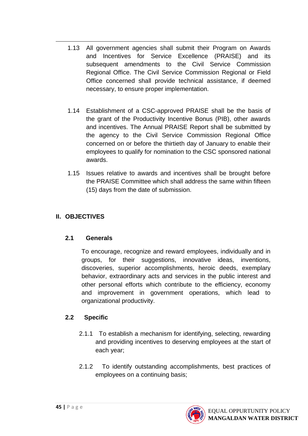- 1.13 All government agencies shall submit their Program on Awards and Incentives for Service Excellence (PRAISE) and its subsequent amendments to the Civil Service Commission Regional Office. The Civil Service Commission Regional or Field Office concerned shall provide technical assistance, if deemed necessary, to ensure proper implementation.
- 1.14 Establishment of a CSC-approved PRAISE shall be the basis of the grant of the Productivity Incentive Bonus (PIB), other awards and incentives. The Annual PRAISE Report shall be submitted by the agency to the Civil Service Commission Regional Office concerned on or before the thirtieth day of January to enable their employees to qualify for nomination to the CSC sponsored national awards.
- 1.15 Issues relative to awards and incentives shall be brought before the PRAISE Committee which shall address the same within fifteen (15) days from the date of submission.

#### **II. OBJECTIVES**

1

#### **2.1 Generals**

To encourage, recognize and reward employees, individually and in groups, for their suggestions, innovative ideas, inventions, discoveries, superior accomplishments, heroic deeds, exemplary behavior, extraordinary acts and services in the public interest and other personal efforts which contribute to the efficiency, economy and improvement in government operations, which lead to organizational productivity.

## **2.2 Specific**

- 2.1.1 To establish a mechanism for identifying, selecting, rewarding and providing incentives to deserving employees at the start of each year;
- 2.1.2 To identify outstanding accomplishments, best practices of employees on a continuing basis;

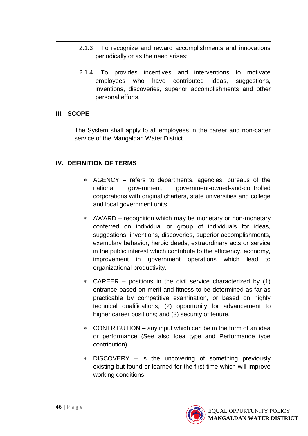- 2.1.3 To recognize and reward accomplishments and innovations periodically or as the need arises;
- 2.1.4 To provides incentives and interventions to motivate employees who have contributed ideas, suggestions, inventions, discoveries, superior accomplishments and other personal efforts.

#### **III. SCOPE**

1

The System shall apply to all employees in the career and non-carter service of the Mangaldan Water District.

#### **IV. DEFINITION OF TERMS**

- AGENCY refers to departments, agencies, bureaus of the national government, government-owned-and-controlled corporations with original charters, state universities and college and local government units.
- AWARD recognition which may be monetary or non-monetary conferred on individual or group of individuals for ideas, suggestions, inventions, discoveries, superior accomplishments, exemplary behavior, heroic deeds, extraordinary acts or service in the public interest which contribute to the efficiency, economy, improvement in government operations which lead to organizational productivity.
- CAREER positions in the civil service characterized by (1) entrance based on merit and fitness to be determined as far as practicable by competitive examination, or based on highly technical qualifications; (2) opportunity for advancement to higher career positions; and (3) security of tenure.
- CONTRIBUTION any input which can be in the form of an idea or performance (See also Idea type and Performance type contribution).
- DISCOVERY is the uncovering of something previously existing but found or learned for the first time which will improve working conditions.

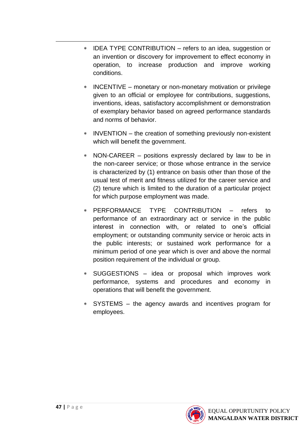- IDEA TYPE CONTRIBUTION refers to an idea, suggestion or an invention or discovery for improvement to effect economy in operation, to increase production and improve working conditions.
- INCENTIVE monetary or non-monetary motivation or privilege given to an official or employee for contributions, suggestions, inventions, ideas, satisfactory accomplishment or demonstration of exemplary behavior based on agreed performance standards and norms of behavior.
- INVENTION the creation of something previously non-existent which will benefit the government.
- NON-CAREER positions expressly declared by law to be in the non-career service; or those whose entrance in the service is characterized by (1) entrance on basis other than those of the usual test of merit and fitness utilized for the career service and (2) tenure which is limited to the duration of a particular project for which purpose employment was made.
- PERFORMANCE TYPE CONTRIBUTION refers to performance of an extraordinary act or service in the public interest in connection with, or related to one's official employment; or outstanding community service or heroic acts in the public interests; or sustained work performance for a minimum period of one year which is over and above the normal position requirement of the individual or group.
- SUGGESTIONS idea or proposal which improves work performance, systems and procedures and economy in operations that will benefit the government.
- SYSTEMS the agency awards and incentives program for employees.



1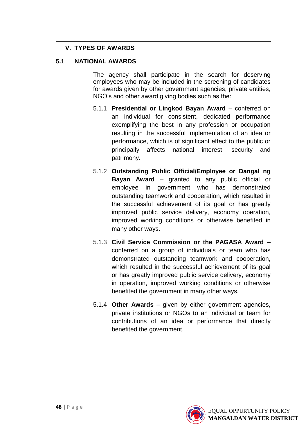#### **V. TYPES OF AWARDS**

#### **5.1 NATIONAL AWARDS**

1

The agency shall participate in the search for deserving employees who may be included in the screening of candidates for awards given by other government agencies, private entities, NGO's and other award giving bodies such as the:

- 5.1.1 **Presidential or Lingkod Bayan Award** conferred on an individual for consistent, dedicated performance exemplifying the best in any profession or occupation resulting in the successful implementation of an idea or performance, which is of significant effect to the public or principally affects national interest, security and patrimony.
- 5.1.2 **Outstanding Public Official/Employee or Dangal ng Bayan Award** – granted to any public official or employee in government who has demonstrated outstanding teamwork and cooperation, which resulted in the successful achievement of its goal or has greatly improved public service delivery, economy operation, improved working conditions or otherwise benefited in many other ways.
- 5.1.3 **Civil Service Commission or the PAGASA Award** conferred on a group of individuals or team who has demonstrated outstanding teamwork and cooperation, which resulted in the successful achievement of its goal or has greatly improved public service delivery, economy in operation, improved working conditions or otherwise benefited the government in many other ways.
- 5.1.4 **Other Awards** given by either government agencies, private institutions or NGOs to an individual or team for contributions of an idea or performance that directly benefited the government.

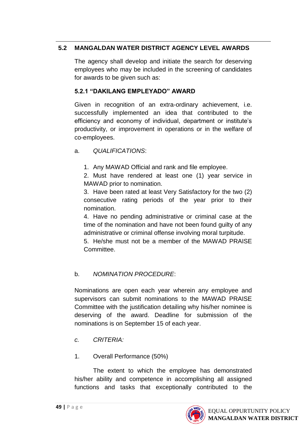#### **5.2 MANGALDAN WATER DISTRICT AGENCY LEVEL AWARDS**

The agency shall develop and initiate the search for deserving employees who may be included in the screening of candidates for awards to be given such as:

#### **5.2.1 "DAKILANG EMPLEYADO" AWARD**

Given in recognition of an extra-ordinary achievement, i.e. successfully implemented an idea that contributed to the efficiency and economy of individual, department or institute's productivity, or improvement in operations or in the welfare of co-employees.

#### a. *QUALIFICATIONS*:

1

1. Any MAWAD Official and rank and file employee.

2. Must have rendered at least one (1) year service in MAWAD prior to nomination.

3. Have been rated at least Very Satisfactory for the two (2) consecutive rating periods of the year prior to their nomination.

4. Have no pending administrative or criminal case at the time of the nomination and have not been found guilty of any administrative or criminal offense involving moral turpitude.

5. He/she must not be a member of the MAWAD PRAISE Committee.

## b. *NOMINATION PROCEDURE*:

Nominations are open each year wherein any employee and supervisors can submit nominations to the MAWAD PRAISE Committee with the justification detailing why his/her nominee is deserving of the award. Deadline for submission of the nominations is on September 15 of each year.

- *c. CRITERIA:*
- 1. Overall Performance (50%)

The extent to which the employee has demonstrated his/her ability and competence in accomplishing all assigned functions and tasks that exceptionally contributed to the

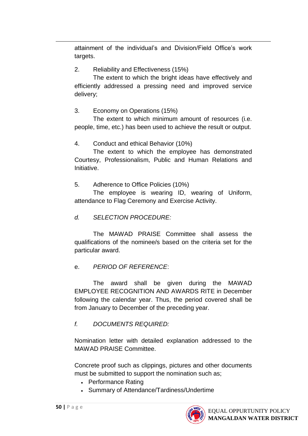attainment of the individual's and Division/Field Office's work targets.

2. Reliability and Effectiveness (15%)

1

The extent to which the bright ideas have effectively and efficiently addressed a pressing need and improved service delivery;

3. Economy on Operations (15%)

The extent to which minimum amount of resources (i.e. people, time, etc.) has been used to achieve the result or output.

4. Conduct and ethical Behavior (10%)

The extent to which the employee has demonstrated Courtesy, Professionalism, Public and Human Relations and Initiative.

5. Adherence to Office Policies (10%)

The employee is wearing ID, wearing of Uniform, attendance to Flag Ceremony and Exercise Activity.

*d. SELECTION PROCEDURE:*

The MAWAD PRAISE Committee shall assess the qualifications of the nominee/s based on the criteria set for the particular award.

e. *PERIOD OF REFERENCE*:

The award shall be given during the MAWAD EMPLOYEE RECOGNITION AND AWARDS RITE in December following the calendar year. Thus, the period covered shall be from January to December of the preceding year.

*f. DOCUMENTS REQUIRED:*

Nomination letter with detailed explanation addressed to the MAWAD PRAISE Committee.

Concrete proof such as clippings, pictures and other documents must be submitted to support the nomination such as;

- Performance Rating
- Summary of Attendance/Tardiness/Undertime

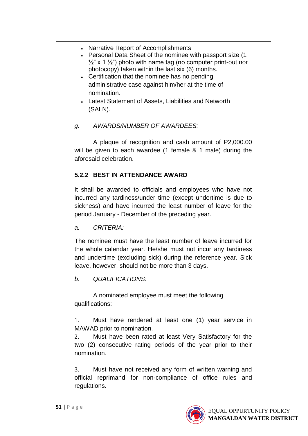- Narrative Report of Accomplishments
- Personal Data Sheet of the nominee with passport size (1  $\frac{1}{2}$ " x 1  $\frac{1}{2}$ ") photo with name tag (no computer print-out nor photocopy) taken within the last six (6) months.
- Certification that the nominee has no pending administrative case against him/her at the time of nomination.
- Latest Statement of Assets, Liabilities and Networth (SALN).
- *g. AWARDS/NUMBER OF AWARDEES:*

A plaque of recognition and cash amount of P2,000.00 will be given to each awardee (1 female & 1 male) during the aforesaid celebration.

## **5.2.2 BEST IN ATTENDANCE AWARD**

It shall be awarded to officials and employees who have not incurred any tardiness/under time (except undertime is due to sickness) and have incurred the least number of leave for the period January - December of the preceding year.

*a. CRITERIA:*

1

The nominee must have the least number of leave incurred for the whole calendar year. He/she must not incur any tardiness and undertime (excluding sick) during the reference year. Sick leave, however, should not be more than 3 days.

*b. QUALIFICATIONS:*

A nominated employee must meet the following qualifications:

1. Must have rendered at least one (1) year service in MAWAD prior to nomination.

2. Must have been rated at least Very Satisfactory for the two (2) consecutive rating periods of the year prior to their nomination.

3. Must have not received any form of written warning and official reprimand for non-compliance of office rules and regulations.

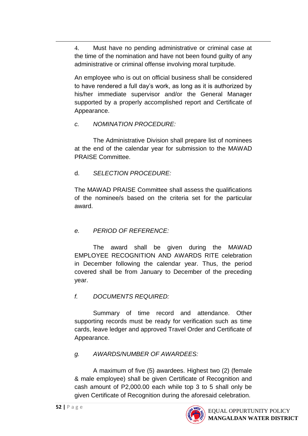4. Must have no pending administrative or criminal case at the time of the nomination and have not been found guilty of any administrative or criminal offense involving moral turpitude.

An employee who is out on official business shall be considered to have rendered a full day's work, as long as it is authorized by his/her immediate supervisor and/or the General Manager supported by a properly accomplished report and Certificate of Appearance.

#### *c. NOMINATION PROCEDURE:*

1

The Administrative Division shall prepare list of nominees at the end of the calendar year for submission to the MAWAD PRAISE Committee.

## d. *SELECTION PROCEDURE:*

The MAWAD PRAISE Committee shall assess the qualifications of the nominee/s based on the criteria set for the particular award.

## *e. PERIOD OF REFERENCE:*

The award shall be given during the MAWAD EMPLOYEE RECOGNITION AND AWARDS RITE celebration in December following the calendar year. Thus, the period covered shall be from January to December of the preceding year.

## *f. DOCUMENTS REQUIRED:*

Summary of time record and attendance. Other supporting records must be ready for verification such as time cards, leave ledger and approved Travel Order and Certificate of Appearance.

## *g. AWARDS/NUMBER OF AWARDEES:*

A maximum of five (5) awardees. Highest two (2) (female & male employee) shall be given Certificate of Recognition and cash amount of P2,000.00 each while top 3 to 5 shall only be given Certificate of Recognition during the aforesaid celebration.

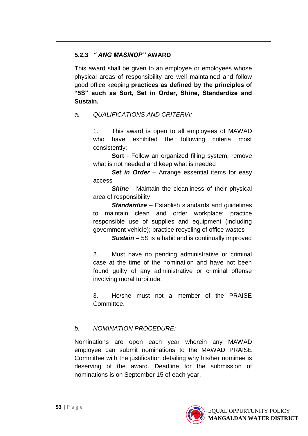#### **5.2.3** *" ANG MASINOP"* **AWARD**

1

This award shall be given to an employee or employees whose physical areas of responsibility are well maintained and follow good office keeping **practices as defined by the principles of "5S" such as Sort, Set in Order, Shine, Standardize and Sustain.**

*a. QUALIFICATIONS AND CRITERIA:*

1. This award is open to all employees of MAWAD who have exhibited the following criteria most consistently:

**Sort** - Follow an organized filling system, remove what is not needed and keep what is needed

**Set in Order** – Arrange essential items for easy access

*Shine* - Maintain the cleanliness of their physical area of responsibility

*Standardize* – Establish standards and guidelines to maintain clean and order workplace; practice responsible use of supplies and equipment (including government vehicle); practice recycling of office wastes

**Sustain** – 5S is a habit and is continually improved

2. Must have no pending administrative or criminal case at the time of the nomination and have not been found guilty of any administrative or criminal offense involving moral turpitude.

3. He/she must not a member of the PRAISE Committee.

## *b. NOMINATION PROCEDURE:*

Nominations are open each year wherein any MAWAD employee can submit nominations to the MAWAD PRAISE Committee with the justification detailing why his/her nominee is deserving of the award. Deadline for the submission of nominations is on September 15 of each year.

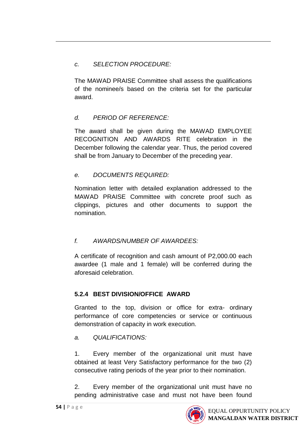## *c. SELECTION PROCEDURE:*

1

The MAWAD PRAISE Committee shall assess the qualifications of the nominee/s based on the criteria set for the particular award.

## *d. PERIOD OF REFERENCE:*

The award shall be given during the MAWAD EMPLOYEE RECOGNITION AND AWARDS RITE celebration in the December following the calendar year. Thus, the period covered shall be from January to December of the preceding year.

## *e. DOCUMENTS REQUIRED:*

Nomination letter with detailed explanation addressed to the MAWAD PRAISE Committee with concrete proof such as clippings, pictures and other documents to support the nomination.

## *f. AWARDS/NUMBER OF AWARDEES:*

A certificate of recognition and cash amount of P2,000.00 each awardee (1 male and 1 female) will be conferred during the aforesaid celebration.

## **5.2.4 BEST DIVISION/OFFICE AWARD**

Granted to the top, division or office for extra- ordinary performance of core competencies or service or continuous demonstration of capacity in work execution.

## *a. QUALIFICATIONS:*

1. Every member of the organizational unit must have obtained at least Very Satisfactory performance for the two (2) consecutive rating periods of the year prior to their nomination.

2. Every member of the organizational unit must have no pending administrative case and must not have been found

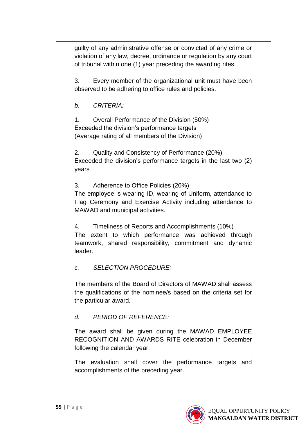guilty of any administrative offense or convicted of any crime or violation of any law, decree, ordinance or regulation by any court of tribunal within one (1) year preceding the awarding rites.

3. Every member of the organizational unit must have been observed to be adhering to office rules and policies.

*b. CRITERIA:*

1

1. Overall Performance of the Division (50%) Exceeded the division's performance targets (Average rating of all members of the Division)

2. Quality and Consistency of Performance (20%) Exceeded the division's performance targets in the last two (2) years

3. Adherence to Office Policies (20%)

The employee is wearing ID, wearing of Uniform, attendance to Flag Ceremony and Exercise Activity including attendance to MAWAD and municipal activities.

4. Timeliness of Reports and Accomplishments (10%)

The extent to which performance was achieved through teamwork, shared responsibility, commitment and dynamic leader.

## *c. SELECTION PROCEDURE:*

The members of the Board of Directors of MAWAD shall assess the qualifications of the nominee/s based on the criteria set for the particular award.

## *d. PERIOD OF REFERENCE:*

The award shall be given during the MAWAD EMPLOYEE RECOGNITION AND AWARDS RITE celebration in December following the calendar year.

The evaluation shall cover the performance targets and accomplishments of the preceding year.

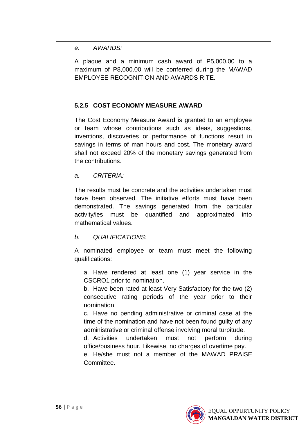#### *e. AWARDS:*

1

A plaque and a minimum cash award of P5,000.00 to a maximum of P8,000.00 will be conferred during the MAWAD EMPLOYEE RECOGNITION AND AWARDS RITE.

#### **5.2.5 COST ECONOMY MEASURE AWARD**

The Cost Economy Measure Award is granted to an employee or team whose contributions such as ideas, suggestions, inventions, discoveries or performance of functions result in savings in terms of man hours and cost. The monetary award shall not exceed 20% of the monetary savings generated from the contributions.

#### *a. CRITERIA:*

The results must be concrete and the activities undertaken must have been observed. The initiative efforts must have been demonstrated. The savings generated from the particular activity/ies must be quantified and approximated into mathematical values.

#### *b. QUALIFICATIONS:*

A nominated employee or team must meet the following qualifications:

a. Have rendered at least one (1) year service in the CSCRO1 prior to nomination.

b. Have been rated at least Very Satisfactory for the two (2) consecutive rating periods of the year prior to their nomination.

c. Have no pending administrative or criminal case at the time of the nomination and have not been found guilty of any administrative or criminal offense involving moral turpitude.

d. Activities undertaken must not perform during office/business hour. Likewise, no charges of overtime pay.

e. He/she must not a member of the MAWAD PRAISE **Committee.** 

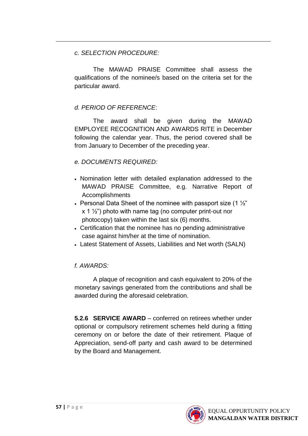*c. SELECTION PROCEDURE:*

1

The MAWAD PRAISE Committee shall assess the qualifications of the nominee/s based on the criteria set for the particular award.

## *d. PERIOD OF REFERENCE*:

The award shall be given during the MAWAD EMPLOYEE RECOGNITION AND AWARDS RITE in December following the calendar year. Thus, the period covered shall be from January to December of the preceding year.

## *e. DOCUMENTS REQUIRED:*

- Nomination letter with detailed explanation addressed to the MAWAD PRAISE Committee, e.g. Narrative Report of Accomplishments
- Personal Data Sheet of the nominee with passport size  $(1 \frac{1}{2})$  $x$  1  $\frac{1}{2}$ ") photo with name tag (no computer print-out nor photocopy) taken within the last six (6) months.
- Certification that the nominee has no pending administrative case against him/her at the time of nomination.
- Latest Statement of Assets, Liabilities and Net worth (SALN)

## *f. AWARDS:*

A plaque of recognition and cash equivalent to 20% of the monetary savings generated from the contributions and shall be awarded during the aforesaid celebration.

**5.2.6 SERVICE AWARD** – conferred on retirees whether under optional or compulsory retirement schemes held during a fitting ceremony on or before the date of their retirement. Plaque of Appreciation, send-off party and cash award to be determined by the Board and Management.

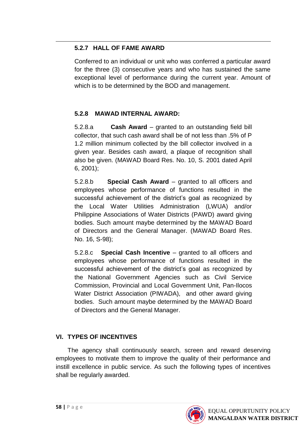#### **5.2.7 HALL OF FAME AWARD**

1

Conferred to an individual or unit who was conferred a particular award for the three (3) consecutive years and who has sustained the same exceptional level of performance during the current year. Amount of which is to be determined by the BOD and management.

## **5.2.8 MAWAD INTERNAL AWARD:**

5.2.8.a **Cash Award** – granted to an outstanding field bill collector, that such cash award shall be of not less than .5% of P 1.2 million minimum collected by the bill collector involved in a given year. Besides cash award, a plaque of recognition shall also be given. (MAWAD Board Res. No. 10, S. 2001 dated April 6, 2001);

5.2.8.b **Special Cash Award** – granted to all officers and employees whose performance of functions resulted in the successful achievement of the district's goal as recognized by the Local Water Utilities Administration (LWUA) and/or Philippine Associations of Water Districts (PAWD) award giving bodies. Such amount maybe determined by the MAWAD Board of Directors and the General Manager. (MAWAD Board Res. No. 16, S-98);

5.2.8.c **Special Cash Incentive** – granted to all officers and employees whose performance of functions resulted in the successful achievement of the district's goal as recognized by the National Government Agencies such as Civil Service Commission, Provincial and Local Government Unit, Pan-Ilocos Water District Association (PIWADA), and other award giving bodies. Such amount maybe determined by the MAWAD Board of Directors and the General Manager.

## **VI. TYPES OF INCENTIVES**

The agency shall continuously search, screen and reward deserving employees to motivate them to improve the quality of their performance and instill excellence in public service. As such the following types of incentives shall be regularly awarded.

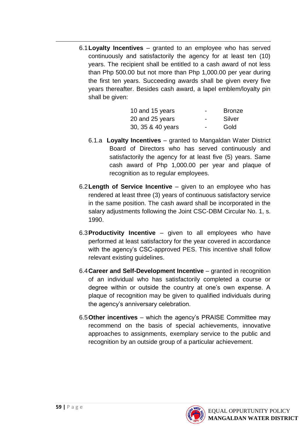6.1**Loyalty Incentives** – granted to an employee who has served continuously and satisfactorily the agency for at least ten (10) years. The recipient shall be entitled to a cash award of not less than Php 500.00 but not more than Php 1,000.00 per year during the first ten years. Succeeding awards shall be given every five years thereafter. Besides cash award, a lapel emblem/loyalty pin shall be given:

| 10 and 15 years   | $\overline{\phantom{0}}$ | <b>Bronze</b> |
|-------------------|--------------------------|---------------|
| 20 and 25 years   | $\overline{\phantom{0}}$ | Silver        |
| 30, 35 & 40 years | $\blacksquare$           | Gold          |

- 6.1.a **Loyalty Incentives** granted to Mangaldan Water District Board of Directors who has served continuously and satisfactorily the agency for at least five (5) years. Same cash award of Php 1,000.00 per year and plaque of recognition as to regular employees.
- 6.2**Length of Service Incentive** given to an employee who has rendered at least three (3) years of continuous satisfactory service in the same position. The cash award shall be incorporated in the salary adjustments following the Joint CSC-DBM Circular No. 1, s. 1990.
- 6.3**Productivity Incentive**  given to all employees who have performed at least satisfactory for the year covered in accordance with the agency's CSC-approved PES. This incentive shall follow relevant existing guidelines.
- 6.4**Career and Self-Development Incentive** granted in recognition of an individual who has satisfactorily completed a course or degree within or outside the country at one's own expense. A plaque of recognition may be given to qualified individuals during the agency's anniversary celebration.
- 6.5**Other incentives**  which the agency's PRAISE Committee may recommend on the basis of special achievements, innovative approaches to assignments, exemplary service to the public and recognition by an outside group of a particular achievement.



1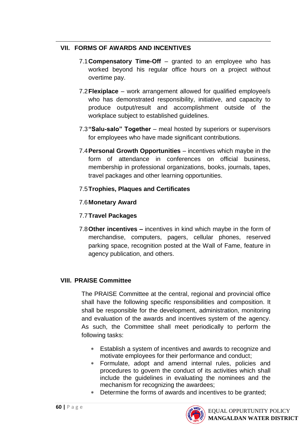#### **VII. FORMS OF AWARDS AND INCENTIVES**

1

- 7.1**Compensatory Time-Off** granted to an employee who has worked beyond his regular office hours on a project without overtime pay.
- 7.2**Flexiplace** work arrangement allowed for qualified employee/s who has demonstrated responsibility, initiative, and capacity to produce output/result and accomplishment outside of the workplace subject to established guidelines.
- 7.3**"Salu-salo" Together** meal hosted by superiors or supervisors for employees who have made significant contributions.
- 7.4**Personal Growth Opportunities**  incentives which maybe in the form of attendance in conferences on official business, membership in professional organizations, books, journals, tapes, travel packages and other learning opportunities.
- 7.5**Trophies, Plaques and Certificates**

#### 7.6**Monetary Award**

## 7.7**Travel Packages**

7.8**Other incentives –** incentives in kind which maybe in the form of merchandise, computers, pagers, cellular phones, reserved parking space, recognition posted at the Wall of Fame, feature in agency publication, and others.

#### **VIII. PRAISE Committee**

The PRAISE Committee at the central, regional and provincial office shall have the following specific responsibilities and composition. It shall be responsible for the development, administration, monitoring and evaluation of the awards and incentives system of the agency. As such, the Committee shall meet periodically to perform the following tasks:

- Establish a system of incentives and awards to recognize and motivate employees for their performance and conduct;
- Formulate, adopt and amend internal rules, policies and procedures to govern the conduct of its activities which shall include the guidelines in evaluating the nominees and the mechanism for recognizing the awardees;
- Determine the forms of awards and incentives to be granted;

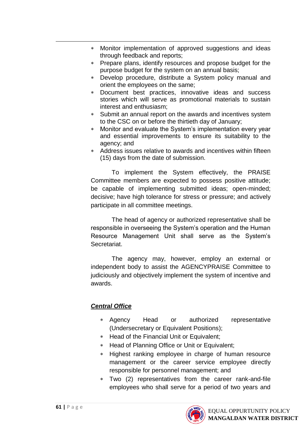- Monitor implementation of approved suggestions and ideas through feedback and reports;
- Prepare plans, identify resources and propose budget for the purpose budget for the system on an annual basis;
- Develop procedure, distribute a System policy manual and orient the employees on the same;
- Document best practices, innovative ideas and success stories which will serve as promotional materials to sustain interest and enthusiasm;
- Submit an annual report on the awards and incentives system to the CSC on or before the thirtieth day of January;
- Monitor and evaluate the System's implementation every year and essential improvements to ensure its suitability to the agency; and
- Address issues relative to awards and incentives within fifteen (15) days from the date of submission.

To implement the System effectively, the PRAISE Committee members are expected to possess positive attitude; be capable of implementing submitted ideas; open-minded; decisive; have high tolerance for stress or pressure; and actively participate in all committee meetings.

The head of agency or authorized representative shall be responsible in overseeing the System's operation and the Human Resource Management Unit shall serve as the System's Secretariat.

The agency may, however, employ an external or independent body to assist the AGENCYPRAISE Committee to judiciously and objectively implement the system of incentive and awards.

## *Central Office*

- Agency Head or authorized representative (Undersecretary or Equivalent Positions);
- \* Head of the Financial Unit or Equivalent;
- Head of Planning Office or Unit or Equivalent;
- Highest ranking employee in charge of human resource management or the career service employee directly responsible for personnel management; and
- Two (2) representatives from the career rank-and-file employees who shall serve for a period of two years and



1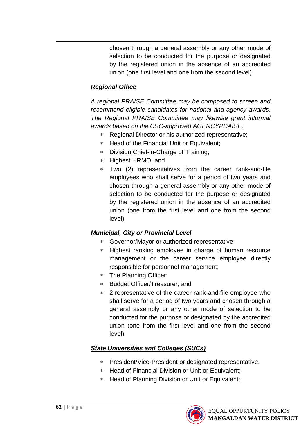chosen through a general assembly or any other mode of selection to be conducted for the purpose or designated by the registered union in the absence of an accredited union (one first level and one from the second level).

#### *Regional Office*

1

*A regional PRAISE Committee may be composed to screen and recommend eligible candidates for national and agency awards. The Regional PRAISE Committee may likewise grant informal awards based on the CSC-approved AGENCYPRAISE.*

- Regional Director or his authorized representative;
- Head of the Financial Unit or Equivalent;
- Division Chief-in-Charge of Training;
- \* Highest HRMO; and
- Two (2) representatives from the career rank-and-file employees who shall serve for a period of two years and chosen through a general assembly or any other mode of selection to be conducted for the purpose or designated by the registered union in the absence of an accredited union (one from the first level and one from the second level).

#### *Municipal, City or Provincial Level*

- Governor/Mayor or authorized representative;
- Highest ranking employee in charge of human resource management or the career service employee directly responsible for personnel management;
- The Planning Officer;
- Budget Officer/Treasurer; and
- 2 representative of the career rank-and-file employee who shall serve for a period of two years and chosen through a general assembly or any other mode of selection to be conducted for the purpose or designated by the accredited union (one from the first level and one from the second level).

## *State Universities and Colleges (SUCs)*

- President/Vice-President or designated representative;
- \* Head of Financial Division or Unit or Equivalent;
- Head of Planning Division or Unit or Equivalent;

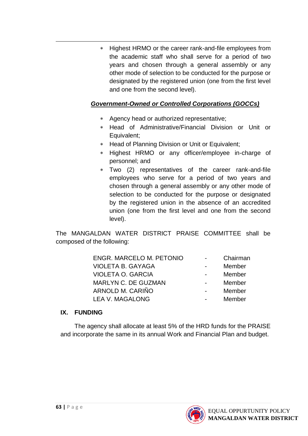Highest HRMO or the career rank-and-file employees from the academic staff who shall serve for a period of two years and chosen through a general assembly or any other mode of selection to be conducted for the purpose or designated by the registered union (one from the first level and one from the second level).

#### *Government-Owned or Controlled Corporations (GOCCs)*

- Agency head or authorized representative;
- Head of Administrative/Financial Division or Unit or Equivalent;
- \* Head of Planning Division or Unit or Equivalent;
- Highest HRMO or any officer/employee in-charge of personnel; and
- Two (2) representatives of the career rank-and-file employees who serve for a period of two years and chosen through a general assembly or any other mode of selection to be conducted for the purpose or designated by the registered union in the absence of an accredited union (one from the first level and one from the second level).

The MANGALDAN WATER DISTRICT PRAISE COMMITTEE shall be composed of the following:

| ENGR. MARCELO M. PETONIO   | Chairman |
|----------------------------|----------|
| <b>VIOLETA B. GAYAGA</b>   | Member   |
| <b>VIOLETA O. GARCIA</b>   | Member   |
| <b>MARLYN C. DE GUZMAN</b> | Member   |
| ARNOLD M. CARIÑO           | Member   |
| <b>LEA V. MAGALONG</b>     | Member   |

#### **IX. FUNDING**

1

The agency shall allocate at least 5% of the HRD funds for the PRAISE and incorporate the same in its annual Work and Financial Plan and budget.

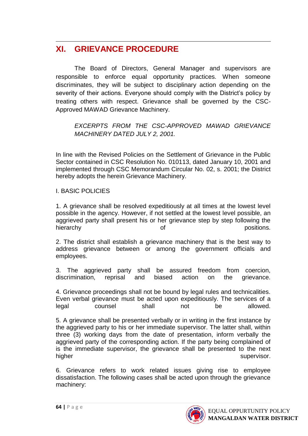#### 1 **XI. GRIEVANCE PROCEDURE**

The Board of Directors, General Manager and supervisors are responsible to enforce equal opportunity practices. When someone discriminates, they will be subject to disciplinary action depending on the severity of their actions. Everyone should comply with the District's policy by treating others with respect. Grievance shall be governed by the CSC-Approved MAWAD Grievance Machinery.

*EXCERPTS FROM THE CSC-APPROVED MAWAD GRIEVANCE MACHINERY DATED JULY 2, 2001.*

In line with the Revised Policies on the Settlement of Grievance in the Public Sector contained in CSC Resolution No. 010113, dated January 10, 2001 and implemented through CSC Memorandum Circular No. 02, s. 2001; the District hereby adopts the herein Grievance Machinery.

#### I. BASIC POLICIES

1. A grievance shall be resolved expeditiously at all times at the lowest level possible in the agency. However, if not settled at the lowest level possible, an aggrieved party shall present his or her grievance step by step following the hierarchy of positions.

2. The district shall establish a grievance machinery that is the best way to address grievance between or among the government officials and employees.

3. The aggrieved party shall be assured freedom from coercion, discrimination, reprisal and biased action on the grievance.

4. Grievance proceedings shall not be bound by legal rules and technicalities. Even verbal grievance must be acted upon expeditiously. The services of a legal counsel shall not be allowed.

5. A grievance shall be presented verbally or in writing in the first instance by the aggrieved party to his or her immediate supervisor. The latter shall, within three (3) working days from the date of presentation, inform verbally the aggrieved party of the corresponding action. If the party being complained of is the immediate supervisor, the grievance shall be presented to the next higher supervisor.

6. Grievance refers to work related issues giving rise to employee dissatisfaction. The following cases shall be acted upon through the grievance machinery:

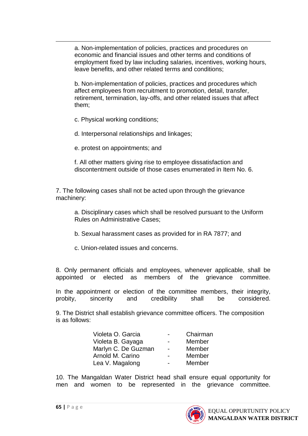a. Non-implementation of policies, practices and procedures on economic and financial issues and other terms and conditions of employment fixed by law including salaries, incentives, working hours, leave benefits, and other related terms and conditions;

b. Non-implementation of policies, practices and procedures which affect employees from recruitment to promotion, detail, transfer, retirement, termination, lay-offs, and other related issues that affect them;

c. Physical working conditions;

1

d. Interpersonal relationships and linkages;

e. protest on appointments; and

f. All other matters giving rise to employee dissatisfaction and discontentment outside of those cases enumerated in Item No. 6.

7. The following cases shall not be acted upon through the grievance machinery:

a. Disciplinary cases which shall be resolved pursuant to the Uniform Rules on Administrative Cases;

- b. Sexual harassment cases as provided for in RA 7877; and
- c. Union-related issues and concerns.

8. Only permanent officials and employees, whenever applicable, shall be appointed or elected as members of the grievance committee.

In the appointment or election of the committee members, their integrity, probity, sincerity and credibility shall be considered.

9. The District shall establish grievance committee officers. The composition is as follows:

| Violeta O. Garcia   |                          | Chairman |
|---------------------|--------------------------|----------|
| Violeta B. Gayaga   | $\overline{\phantom{0}}$ | Member   |
| Marlyn C. De Guzman | $\overline{\phantom{0}}$ | Member   |
| Arnold M. Carino    | $\overline{\phantom{0}}$ | Member   |
| Lea V. Magalong     |                          | Member   |

10. The Mangaldan Water District head shall ensure equal opportunity for men and women to be represented in the grievance committee.

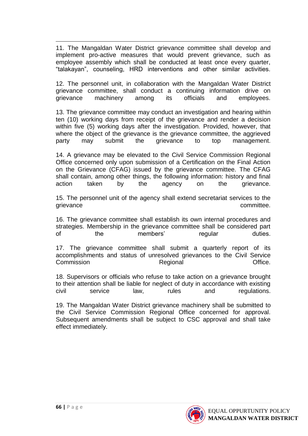1 11. The Mangaldan Water District grievance committee shall develop and implement pro-active measures that would prevent grievance, such as employee assembly which shall be conducted at least once every quarter, "talakayan", counseling, HRD interventions and other similar activities.

12. The personnel unit, in collaboration with the Mangaldan Water District grievance committee, shall conduct a continuing information drive on grievance machinery among its officials and employees.

13. The grievance committee may conduct an investigation and hearing within ten (10) working days from receipt of the grievance and render a decision within five (5) working days after the investigation. Provided, however, that where the object of the grievance is the grievance committee, the aggrieved party may submit the grievance to top management.

14. A grievance may be elevated to the Civil Service Commission Regional Office concerned only upon submission of a Certification on the Final Action on the Grievance (CFAG) issued by the grievance committee. The CFAG shall contain, among other things, the following information: history and final action taken by the agency on the grievance.

15. The personnel unit of the agency shall extend secretariat services to the grievance committee.

16. The grievance committee shall establish its own internal procedures and strategies. Membership in the grievance committee shall be considered part of the members' regular duties.

17. The grievance committee shall submit a quarterly report of its accomplishments and status of unresolved grievances to the Civil Service Commission **Commission** Regional Regional Commission **Office.** 

18. Supervisors or officials who refuse to take action on a grievance brought to their attention shall be liable for neglect of duty in accordance with existing civil service law, rules and regulations.

19. The Mangaldan Water District grievance machinery shall be submitted to the Civil Service Commission Regional Office concerned for approval. Subsequent amendments shall be subject to CSC approval and shall take effect immediately.

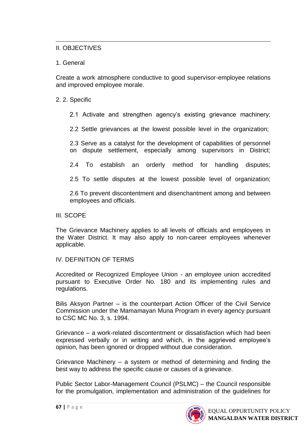#### 1 II. OBJECTIVES

#### 1. General

Create a work atmosphere conductive to good supervisor-employee relations and improved employee morale.

#### 2. 2. Specific

- 2.1 Activate and strengthen agency's existing grievance machinery;
- 2.2 Settle grievances at the lowest possible level in the organization;
- 2.3 Serve as a catalyst for the development of capabilities of personnel on dispute settlement, especially among supervisors in District;
- 2.4 To establish an orderly method for handling disputes;
- 2.5 To settle disputes at the lowest possible level of organization;

2.6 To prevent discontentment and disenchantment among and between employees and officials.

#### III. SCOPE

The Grievance Machinery applies to all levels of officials and employees in the Water District. It may also apply to non-career employees whenever applicable.

#### IV. DEFINITION OF TERMS

Accredited or Recognized Employee Union - an employee union accredited pursuant to Executive Order No. 180 and its implementing rules and regulations.

Bilis Aksyon Partner – is the counterpart Action Officer of the Civil Service Commission under the Mamamayan Muna Program in every agency pursuant to CSC MC No. 3, s. 1994.

Grievance – a work-related discontentment or dissatisfaction which had been expressed verbally or in writing and which, in the aggrieved employee's opinion, has been ignored or dropped without due consideration.

Grievance Machinery – a system or method of determining and finding the best way to address the specific cause or causes of a grievance.

Public Sector Labor-Management Council (PSLMC) – the Council responsible for the promulgation, implementation and administration of the guidelines for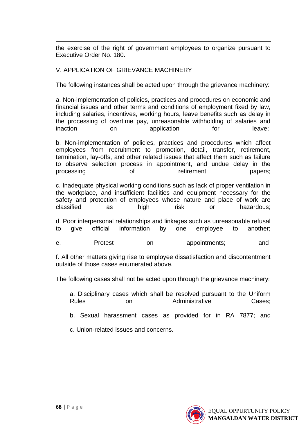1 the exercise of the right of government employees to organize pursuant to Executive Order No. 180.

### V. APPLICATION OF GRIEVANCE MACHINERY

The following instances shall be acted upon through the grievance machinery:

a. Non-implementation of policies, practices and procedures on economic and financial issues and other terms and conditions of employment fixed by law, including salaries, incentives, working hours, leave benefits such as delay in the processing of overtime pay, unreasonable withholding of salaries and inaction on application for leave:

b. Non-implementation of policies, practices and procedures which affect employees from recruitment to promotion, detail, transfer, retirement, termination, lay-offs, and other related issues that affect them such as failure to observe selection process in appointment, and undue delay in the processing of of retirement papers;

c. Inadequate physical working conditions such as lack of proper ventilation in the workplace, and insufficient facilities and equipment necessary for the safety and protection of employees whose nature and place of work are classified as high risk or hazardous;

d. Poor interpersonal relationships and linkages such as unreasonable refusal to give official information by one employee to another;

e. Protest on appointments; and

f. All other matters giving rise to employee dissatisfaction and discontentment outside of those cases enumerated above.

The following cases shall not be acted upon through the grievance machinery:

a. Disciplinary cases which shall be resolved pursuant to the Uniform Rules on Administrative Cases:

b. Sexual harassment cases as provided for in RA 7877; and

c. Union-related issues and concerns.

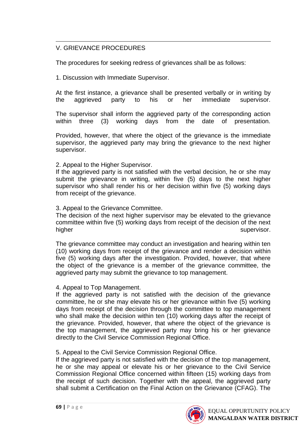#### 1 V. GRIEVANCE PROCEDURES

The procedures for seeking redress of grievances shall be as follows:

1. Discussion with Immediate Supervisor.

At the first instance, a grievance shall be presented verbally or in writing by the aggrieved party to his or her immediate supervisor.

The supervisor shall inform the aggrieved party of the corresponding action within three (3) working days from the date of presentation.

Provided, however, that where the object of the grievance is the immediate supervisor, the aggrieved party may bring the grievance to the next higher supervisor.

2. Appeal to the Higher Supervisor.

If the aggrieved party is not satisfied with the verbal decision, he or she may submit the grievance in writing, within five (5) days to the next higher supervisor who shall render his or her decision within five (5) working days from receipt of the grievance.

3. Appeal to the Grievance Committee.

The decision of the next higher supervisor may be elevated to the grievance committee within five (5) working days from receipt of the decision of the next higher supervisor.

The grievance committee may conduct an investigation and hearing within ten (10) working days from receipt of the grievance and render a decision within five (5) working days after the investigation. Provided, however, that where the object of the grievance is a member of the grievance committee, the aggrieved party may submit the grievance to top management.

### 4. Appeal to Top Management.

If the aggrieved party is not satisfied with the decision of the grievance committee, he or she may elevate his or her grievance within five (5) working days from receipt of the decision through the committee to top management who shall make the decision within ten (10) working days after the receipt of the grievance. Provided, however, that where the object of the grievance is the top management, the aggrieved party may bring his or her grievance directly to the Civil Service Commission Regional Office.

### 5. Appeal to the Civil Service Commission Regional Office.

If the aggrieved party is not satisfied with the decision of the top management, he or she may appeal or elevate his or her grievance to the Civil Service Commission Regional Office concerned within fifteen (15) working days from the receipt of such decision. Together with the appeal, the aggrieved party shall submit a Certification on the Final Action on the Grievance (CFAG). The

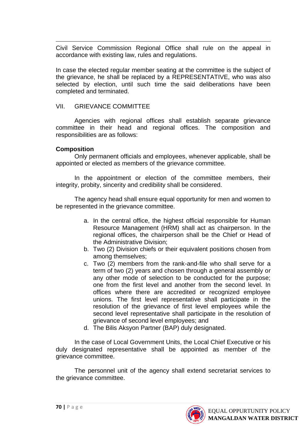1 Civil Service Commission Regional Office shall rule on the appeal in accordance with existing law, rules and regulations.

In case the elected regular member seating at the committee is the subject of the grievance, he shall be replaced by a REPRESENTATIVE, who was also selected by election, until such time the said deliberations have been completed and terminated.

### VII. GRIEVANCE COMMITTEE

Agencies with regional offices shall establish separate grievance committee in their head and regional offices. The composition and responsibilities are as follows:

### **Composition**

Only permanent officials and employees, whenever applicable, shall be appointed or elected as members of the grievance committee.

In the appointment or election of the committee members, their integrity, probity, sincerity and credibility shall be considered.

The agency head shall ensure equal opportunity for men and women to be represented in the grievance committee.

- a. In the central office, the highest official responsible for Human Resource Management (HRM) shall act as chairperson. In the regional offices, the chairperson shall be the Chief or Head of the Administrative Division;
- b. Two (2) Division chiefs or their equivalent positions chosen from among themselves;
- c. Two (2) members from the rank-and-file who shall serve for a term of two (2) years and chosen through a general assembly or any other mode of selection to be conducted for the purpose; one from the first level and another from the second level. In offices where there are accredited or recognized employee unions. The first level representative shall participate in the resolution of the grievance of first level employees while the second level representative shall participate in the resolution of grievance of second level employees; and
- d. The Bilis Aksyon Partner (BAP) duly designated.

In the case of Local Government Units, the Local Chief Executive or his duly designated representative shall be appointed as member of the grievance committee.

The personnel unit of the agency shall extend secretariat services to the grievance committee.

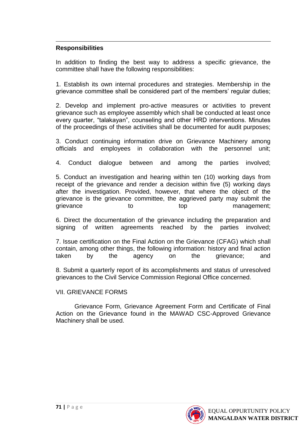#### 1 **Responsibilities**

In addition to finding the best way to address a specific grievance, the committee shall have the following responsibilities:

1. Establish its own internal procedures and strategies. Membership in the grievance committee shall be considered part of the members' regular duties;

2. Develop and implement pro-active measures or activities to prevent grievance such as employee assembly which shall be conducted at least once every quarter, "talakayan", counseling and other HRD interventions. Minutes of the proceedings of these activities shall be documented for audit purposes;

3. Conduct continuing information drive on Grievance Machinery among officials and employees in collaboration with the personnel unit;

4. Conduct dialogue between and among the parties involved;

5. Conduct an investigation and hearing within ten (10) working days from receipt of the grievance and render a decision within five (5) working days after the investigation. Provided, however, that where the object of the grievance is the grievance committee, the aggrieved party may submit the grievance to to top management;

6. Direct the documentation of the grievance including the preparation and signing of written agreements reached by the parties involved;

7. Issue certification on the Final Action on the Grievance (CFAG) which shall contain, among other things, the following information: history and final action taken by the agency on the grievance; and

8. Submit a quarterly report of its accomplishments and status of unresolved grievances to the Civil Service Commission Regional Office concerned.

### VII. GRIEVANCE FORMS

Grievance Form, Grievance Agreement Form and Certificate of Final Action on the Grievance found in the MAWAD CSC-Approved Grievance Machinery shall be used.

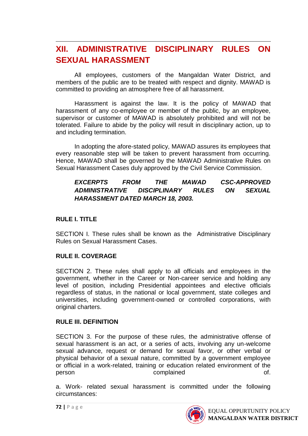# 1 **XII. ADMINISTRATIVE DISCIPLINARY RULES ON SEXUAL HARASSMENT**

All employees, customers of the Mangaldan Water District, and members of the public are to be treated with respect and dignity. MAWAD is committed to providing an atmosphere free of all harassment.

Harassment is against the law. It is the policy of MAWAD that harassment of any co-employee or member of the public, by an employee, supervisor or customer of MAWAD is absolutely prohibited and will not be tolerated. Failure to abide by the policy will result in disciplinary action, up to and including termination.

In adopting the afore-stated policy, MAWAD assures its employees that every reasonable step will be taken to prevent harassment from occurring. Hence, MAWAD shall be governed by the MAWAD Administrative Rules on Sexual Harassment Cases duly approved by the Civil Service Commission.

### *EXCERPTS FROM THE MAWAD CSC-APPROVED ADMINISTRATIVE DISCIPLINARY RULES ON SEXUAL HARASSMENT DATED MARCH 18, 2003.*

## **RULE I. TITLE**

SECTION I. These rules shall be known as the Administrative Disciplinary Rules on Sexual Harassment Cases.

### **RULE II. COVERAGE**

SECTION 2. These rules shall apply to all officials and employees in the government, whether in the Career or Non-career service and holding any level of position, including Presidential appointees and elective officials regardless of status, in the national or local government, state colleges and universities, including government-owned or controlled corporations, with original charters.

### **RULE III. DEFINITION**

SECTION 3. For the purpose of these rules, the administrative offense of sexual harassment is an act, or a series of acts, involving any un-welcome sexual advance, request or demand for sexual favor, or other verbal or physical behavior of a sexual nature, committed by a government employee or official in a work-related, training or education related environment of the person complained of the complaint of the complaint of the complaint of the complaint of the complaint of the complaint of the complaint of the complaint of the complaint of the complaint of the complaint of the complaint

a. Work- related sexual harassment is committed under the following circumstances:

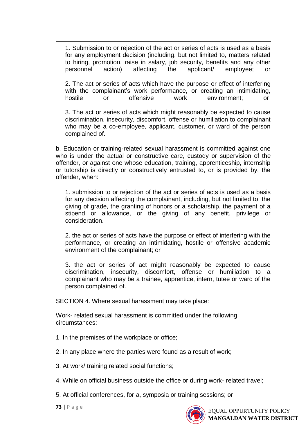1. Submission to or rejection of the act or series of acts is used as a basis for any employment decision (including, but not limited to, matters related to hiring, promotion, raise in salary, job security, benefits and any other personnel action) affecting the applicant/ employee; or

2. The act or series of acts which have the purpose or effect of interfering with the complainant's work performance, or creating an intimidating, hostile or offensive work environment; or

3. The act or series of acts which might reasonably be expected to cause discrimination, insecurity, discomfort, offense or humiliation to complainant who may be a co-employee, applicant, customer, or ward of the person complained of.

b. Education or training-related sexual harassment is committed against one who is under the actual or constructive care, custody or supervision of the offender, or against one whose education, training, apprenticeship, internship or tutorship is directly or constructively entrusted to, or is provided by, the offender, when:

1. submission to or rejection of the act or series of acts is used as a basis for any decision affecting the complainant, including, but not limited to, the giving of grade, the granting of honors or a scholarship, the payment of a stipend or allowance, or the giving of any benefit, privilege or consideration.

2. the act or series of acts have the purpose or effect of interfering with the performance, or creating an intimidating, hostile or offensive academic environment of the complainant; or

3. the act or series of act might reasonably be expected to cause discrimination, insecurity, discomfort, offense or humiliation to a complainant who may be a trainee, apprentice, intern, tutee or ward of the person complained of.

SECTION 4. Where sexual harassment may take place:

Work- related sexual harassment is committed under the following circumstances:

- 1. In the premises of the workplace or office;
- 2. In any place where the parties were found as a result of work;
- 3. At work/ training related social functions;
- 4. While on official business outside the office or during work- related travel;
- 5. At official conferences, for a, symposia or training sessions; or

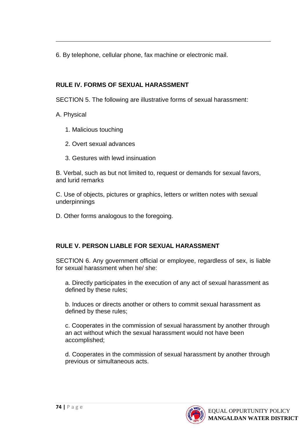6. By telephone, cellular phone, fax machine or electronic mail.

# **RULE IV. FORMS OF SEXUAL HARASSMENT**

SECTION 5. The following are illustrative forms of sexual harassment:

A. Physical

1

- 1. Malicious touching
- 2. Overt sexual advances
- 3. Gestures with lewd insinuation

B. Verbal, such as but not limited to, request or demands for sexual favors, and lurid remarks

C. Use of objects, pictures or graphics, letters or written notes with sexual underpinnings

D. Other forms analogous to the foregoing.

# **RULE V. PERSON LIABLE FOR SEXUAL HARASSMENT**

SECTION 6. Any government official or employee, regardless of sex, is liable for sexual harassment when he/ she:

a. Directly participates in the execution of any act of sexual harassment as defined by these rules;

b. Induces or directs another or others to commit sexual harassment as defined by these rules;

c. Cooperates in the commission of sexual harassment by another through an act without which the sexual harassment would not have been accomplished;

d. Cooperates in the commission of sexual harassment by another through previous or simultaneous acts.

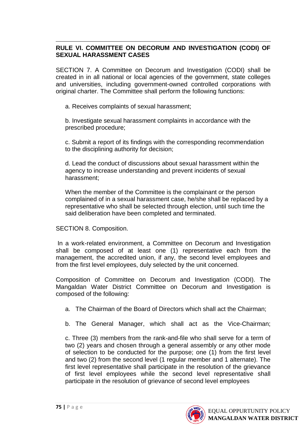#### 1 **RULE VI. COMMITTEE ON DECORUM AND INVESTIGATION (CODI) OF SEXUAL HARASSMENT CASES**

SECTION 7. A Committee on Decorum and Investigation (CODI) shall be created in in all national or local agencies of the government, state colleges and universities, including government-owned controlled corporations with original charter. The Committee shall perform the following functions:

a. Receives complaints of sexual harassment;

b. Investigate sexual harassment complaints in accordance with the prescribed procedure;

c. Submit a report of its findings with the corresponding recommendation to the disciplining authority for decision;

d. Lead the conduct of discussions about sexual harassment within the agency to increase understanding and prevent incidents of sexual harassment;

When the member of the Committee is the complainant or the person complained of in a sexual harassment case, he/she shall be replaced by a representative who shall be selected through election, until such time the said deliberation have been completed and terminated.

SECTION 8. Composition.

In a work-related environment, a Committee on Decorum and Investigation shall be composed of at least one (1) representative each from the management, the accredited union, if any, the second level employees and from the first level employees, duly selected by the unit concerned.

Composition of Committee on Decorum and Investigation (CODI). The Mangaldan Water District Committee on Decorum and Investigation is composed of the following:

- a. The Chairman of the Board of Directors which shall act the Chairman;
- b. The General Manager, which shall act as the Vice-Chairman;

c. Three (3) members from the rank-and-file who shall serve for a term of two (2) years and chosen through a general assembly or any other mode of selection to be conducted for the purpose; one (1) from the first level and two (2) from the second level (1 regular member and 1 alternate). The first level representative shall participate in the resolution of the grievance of first level employees while the second level representative shall participate in the resolution of grievance of second level employees

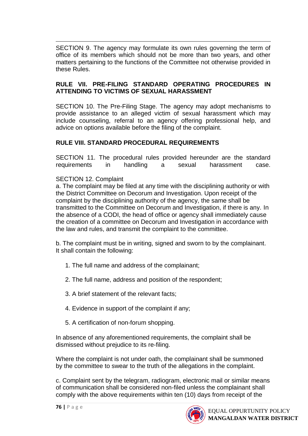1 SECTION 9. The agency may formulate its own rules governing the term of office of its members which should not be more than two years, and other matters pertaining to the functions of the Committee not otherwise provided in these Rules.

### **RULE VII. PRE-FILING STANDARD OPERATING PROCEDURES IN ATTENDING TO VICTIMS OF SEXUAL HARASSMENT**

SECTION 10. The Pre-Filing Stage. The agency may adopt mechanisms to provide assistance to an alleged victim of sexual harassment which may include counseling, referral to an agency offering professional help, and advice on options available before the filing of the complaint.

### **RULE VIII. STANDARD PROCEDURAL REQUIREMENTS**

SECTION 11. The procedural rules provided hereunder are the standard requirements in handling a sexual harassment case.

### SECTION 12. Complaint

a. The complaint may be filed at any time with the disciplining authority or with the District Committee on Decorum and Investigation. Upon receipt of the complaint by the disciplining authority of the agency, the same shall be transmitted to the Committee on Decorum and Investigation, if there is any. In the absence of a CODI, the head of office or agency shall immediately cause the creation of a committee on Decorum and Investigation in accordance with the law and rules, and transmit the complaint to the committee.

b. The complaint must be in writing, signed and sworn to by the complainant. It shall contain the following:

- 1. The full name and address of the complainant;
- 2. The full name, address and position of the respondent;
- 3. A brief statement of the relevant facts;
- 4. Evidence in support of the complaint if any;
- 5. A certification of non-forum shopping.

In absence of any aforementioned requirements, the complaint shall be dismissed without prejudice to its re-filing.

Where the complaint is not under oath, the complainant shall be summoned by the committee to swear to the truth of the allegations in the complaint.

c. Complaint sent by the telegram, radiogram, electronic mail or similar means of communication shall be considered non-filed unless the complainant shall comply with the above requirements within ten (10) days from receipt of the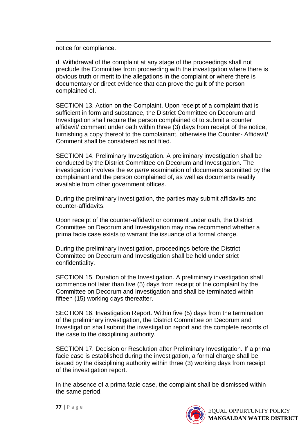notice for compliance.

1

d. Withdrawal of the complaint at any stage of the proceedings shall not preclude the Committee from proceeding with the investigation where there is obvious truth or merit to the allegations in the complaint or where there is documentary or direct evidence that can prove the guilt of the person complained of.

SECTION 13. Action on the Complaint. Upon receipt of a complaint that is sufficient in form and substance, the District Committee on Decorum and Investigation shall require the person complained of to submit a counter affidavit/ comment under oath within three (3) days from receipt of the notice, furnishing a copy thereof to the complainant, otherwise the Counter- Affidavit/ Comment shall be considered as not filed.

SECTION 14. Preliminary Investigation. A preliminary investigation shall be conducted by the District Committee on Decorum and Investigation. The investigation involves the *ex parte* examination of documents submitted by the complainant and the person complained of, as well as documents readily available from other government offices.

During the preliminary investigation, the parties may submit affidavits and counter-affidavits.

Upon receipt of the counter-affidavit or comment under oath, the District Committee on Decorum and Investigation may now recommend whether a prima facie case exists to warrant the issuance of a formal charge.

During the preliminary investigation, proceedings before the District Committee on Decorum and Investigation shall be held under strict confidentiality.

SECTION 15. Duration of the Investigation. A preliminary investigation shall commence not later than five (5) days from receipt of the complaint by the Committee on Decorum and Investigation and shall be terminated within fifteen (15) working days thereafter.

SECTION 16. Investigation Report. Within five (5) days from the termination of the preliminary investigation, the District Committee on Decorum and Investigation shall submit the investigation report and the complete records of the case to the disciplining authority.

SECTION 17. Decision or Resolution after Preliminary Investigation. If a prima facie case is established during the investigation, a formal charge shall be issued by the disciplining authority within three (3) working days from receipt of the investigation report.

In the absence of a prima facie case, the complaint shall be dismissed within the same period.

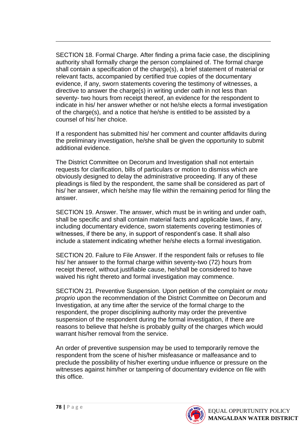SECTION 18. Formal Charge. After finding a prima facie case, the disciplining authority shall formally charge the person complained of. The formal charge shall contain a specification of the charge(s), a brief statement of material or relevant facts, accompanied by certified true copies of the documentary evidence, if any, sworn statements covering the testimony of witnesses, a directive to answer the charge(s) in writing under oath in not less than seventy- two hours from receipt thereof, an evidence for the respondent to indicate in his/ her answer whether or not he/she elects a formal investigation of the charge(s), and a notice that he/she is entitled to be assisted by a counsel of his/ her choice.

If a respondent has submitted his/ her comment and counter affidavits during the preliminary investigation, he/she shall be given the opportunity to submit additional evidence.

The District Committee on Decorum and Investigation shall not entertain requests for clarification, bills of particulars or motion to dismiss which are obviously designed to delay the administrative proceeding. If any of these pleadings is filed by the respondent, the same shall be considered as part of his/ her answer, which he/she may file within the remaining period for filing the answer.

SECTION 19. Answer. The answer, which must be in writing and under oath, shall be specific and shall contain material facts and applicable laws, if any, including documentary evidence, sworn statements covering testimonies of witnesses, if there be any, in support of respondent's case. It shall also include a statement indicating whether he/she elects a formal investigation.

SECTION 20. Failure to File Answer. If the respondent fails or refuses to file his/ her answer to the formal charge within seventy-two (72) hours from receipt thereof, without justifiable cause, he/shall be considered to have waived his right thereto and formal investigation may commence.

SECTION 21. Preventive Suspension. Upon petition of the complaint or *motu proprio* upon the recommendation of the District Committee on Decorum and Investigation, at any time after the service of the formal charge to the respondent, the proper disciplining authority may order the preventive suspension of the respondent during the formal investigation, if there are reasons to believe that he/she is probably guilty of the charges which would warrant his/her removal from the service.

An order of preventive suspension may be used to temporarily remove the respondent from the scene of his/her misfeasance or malfeasance and to preclude the possibility of his/her exerting undue influence or pressure on the witnesses against him/her or tampering of documentary evidence on file with this office.

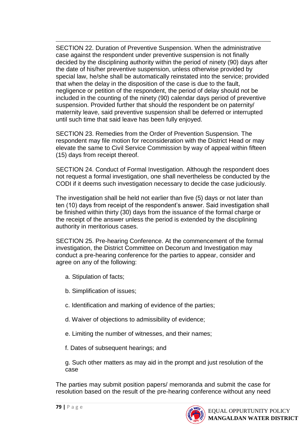SECTION 22. Duration of Preventive Suspension. When the administrative case against the respondent under preventive suspension is not finally decided by the disciplining authority within the period of ninety (90) days after the date of his/her preventive suspension, unless otherwise provided by special law, he/she shall be automatically reinstated into the service; provided that when the delay in the disposition of the case is due to the fault, negligence or petition of the respondent, the period of delay should not be included in the counting of the ninety (90) calendar days period of preventive suspension. Provided further that should the respondent be on paternity/ maternity leave, said preventive suspension shall be deferred or interrupted until such time that said leave has been fully enjoyed.

SECTION 23. Remedies from the Order of Prevention Suspension. The respondent may file motion for reconsideration with the District Head or may elevate the same to Civil Service Commission by way of appeal within fifteen (15) days from receipt thereof.

SECTION 24. Conduct of Formal Investigation. Although the respondent does not request a formal investigation, one shall nevertheless be conducted by the CODI if it deems such investigation necessary to decide the case judiciously.

The investigation shall be held not earlier than five (5) days or not later than ten (10) days from receipt of the respondent's answer. Said investigation shall be finished within thirty (30) days from the issuance of the formal charge or the receipt of the answer unless the period is extended by the disciplining authority in meritorious cases.

SECTION 25. Pre-hearing Conference. At the commencement of the formal investigation, the District Committee on Decorum and Investigation may conduct a pre-hearing conference for the parties to appear, consider and agree on any of the following:

- a. Stipulation of facts;
- b. Simplification of issues;
- c. Identification and marking of evidence of the parties;
- d. Waiver of objections to admissibility of evidence;
- e. Limiting the number of witnesses, and their names;
- f. Dates of subsequent hearings; and
- g. Such other matters as may aid in the prompt and just resolution of the case

The parties may submit position papers/ memoranda and submit the case for resolution based on the result of the pre-hearing conference without any need

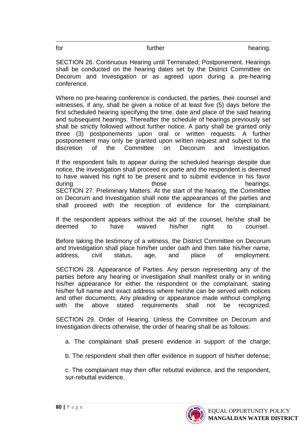for the contract of the further that the contract of the contract of the contract of the contract of the function of the contract of the contract of the contract of the contract of the contract of the contract of the contr

SECTION 26. Continuous Hearing until Terminated; Postponement. Hearings shall be conducted on the hearing dates set by the District Committee on Decorum and Investigation or as agreed upon during a pre-hearing conference.

Where no pre-hearing conference is conducted, the parties, their counsel and witnesses, if any, shall be given a notice of at least five (5) days before the first scheduled hearing specifying the time, date and place of the said hearing and subsequent hearings. Thereafter the schedule of hearings previously set shall be strictly followed without further notice. A party shall be granted only three (3) postponements upon oral or written requests. A further postponement may only be granted upon written request and subject to the discretion of the Committee on Decorum and Investigation.

If the respondent fails to appear during the scheduled hearings despite due notice, the investigation shall proceed ex parte and the respondent is deemed to have waived his right to be present and to submit evidence in his favor during those those the hearings. SECTION 27. Preliminary Matters. At the start of the hearing, the Committee on Decorum and Investigation shall note the appearances of the parties and shall proceed with the reception of evidence for the complainant.

If the respondent appears without the aid of the counsel, he/she shall be deemed to have waived his/her right to counsel.

Before taking the testimony of a witness, the District Committee on Decorum and Investigation shall place him/her under oath and then take his/her name, address, civil status, age, and place of employment.

SECTION 28. Appearance of Parties. Any person representing any of the parties before any hearing or investigation shall manifest orally or in writing his/her appearance for either the respondent or the complainant, stating his/her full name and exact address where he/she can be served with notices and other documents. Any pleading or appearance made without complying with the above stated requirements shall not be recognized.

SECTION 29. Order of Hearing. Unless the Committee on Decorum and Investigation directs otherwise, the order of hearing shall be as follows:

- a. The complainant shall present evidence in support of the charge;
- b. The respondent shall then offer evidence in support of his/her defense;

c. The complainant may then offer rebuttal evidence, and the respondent, sur-rebuttal evidence.

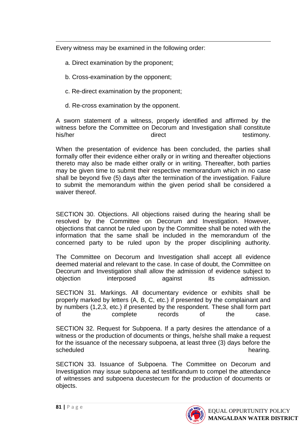1 Every witness may be examined in the following order:

- a. Direct examination by the proponent;
- b. Cross-examination by the opponent;
- c. Re-direct examination by the proponent;
- d. Re-cross examination by the opponent.

A sworn statement of a witness, properly identified and affirmed by the witness before the Committee on Decorum and Investigation shall constitute his/her direct direct testimony.

When the presentation of evidence has been concluded, the parties shall formally offer their evidence either orally or in writing and thereafter objections thereto may also be made either orally or in writing. Thereafter, both parties may be given time to submit their respective memorandum which in no case shall be beyond five (5) days after the termination of the investigation. Failure to submit the memorandum within the given period shall be considered a waiver thereof.

SECTION 30. Objections. All objections raised during the hearing shall be resolved by the Committee on Decorum and Investigation. However, objections that cannot be ruled upon by the Committee shall be noted with the information that the same shall be included in the memorandum of the concerned party to be ruled upon by the proper disciplining authority.

The Committee on Decorum and Investigation shall accept all evidence deemed material and relevant to the case. In case of doubt, the Committee on Decorum and Investigation shall allow the admission of evidence subject to objection interposed against its admission.

SECTION 31. Markings. All documentary evidence or exhibits shall be properly marked by letters (A, B, C, etc.) if presented by the complainant and by numbers (1,2,3, etc.) if presented by the respondent. These shall form part of the complete records of the case.

SECTION 32. Request for Subpoena. If a party desires the attendance of a witness or the production of documents or things, he/she shall make a request for the issuance of the necessary subpoena, at least three (3) days before the scheduled hearing. The scheduled hearing.

SECTION 33. Issuance of Subpoena. The Committee on Decorum and Investigation may issue subpoena ad testificandum to compel the attendance of witnesses and subpoena ducestecum for the production of documents or objects.

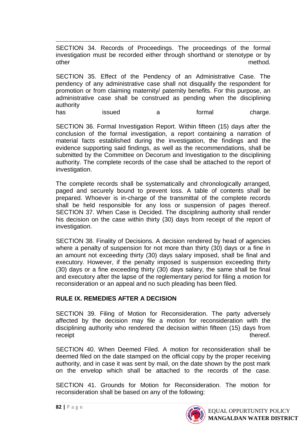1 SECTION 34. Records of Proceedings. The proceedings of the formal investigation must be recorded either through shorthand or stenotype or by other method.

SECTION 35. Effect of the Pendency of an Administrative Case. The pendency of any administrative case shall not disqualify the respondent for promotion or from claiming maternity/ paternity benefits. For this purpose, an administrative case shall be construed as pending when the disciplining authority

has issued a formal charge.

SECTION 36. Formal Investigation Report. Within fifteen (15) days after the conclusion of the formal investigation, a report containing a narration of material facts established during the investigation, the findings and the evidence supporting said findings, as well as the recommendations, shall be submitted by the Committee on Decorum and Investigation to the disciplining authority. The complete records of the case shall be attached to the report of investigation.

The complete records shall be systematically and chronologically arranged, paged and securely bound to prevent loss. A table of contents shall be prepared. Whoever is in-charge of the transmittal of the complete records shall be held responsible for any loss or suspension of pages thereof. SECTION 37. When Case is Decided. The disciplining authority shall render his decision on the case within thirty (30) days from receipt of the report of investigation.

SECTION 38. Finality of Decisions. A decision rendered by head of agencies where a penalty of suspension for not more than thirty (30) days or a fine in an amount not exceeding thirty (30) days salary imposed, shall be final and executory. However, if the penalty imposed is suspension exceeding thirty (30) days or a fine exceeding thirty (30) days salary, the same shall be final and executory after the lapse of the reglementary period for filing a motion for reconsideration or an appeal and no such pleading has been filed.

## **RULE IX. REMEDIES AFTER A DECISION**

SECTION 39. Filing of Motion for Reconsideration. The party adversely affected by the decision may file a motion for reconsideration with the disciplining authority who rendered the decision within fifteen (15) days from receipt thereof.

SECTION 40. When Deemed Filed. A motion for reconsideration shall be deemed filed on the date stamped on the official copy by the proper receiving authority, and in case it was sent by mail, on the date shown by the post mark on the envelop which shall be attached to the records of the case.

SECTION 41. Grounds for Motion for Reconsideration. The motion for reconsideration shall be based on any of the following:

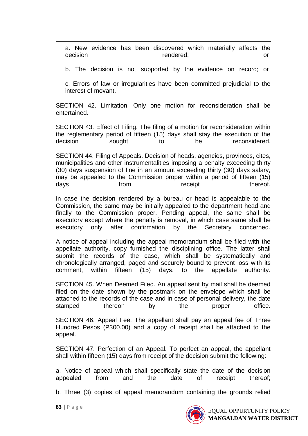a. New evidence has been discovered which materially affects the decision rendered; or

b. The decision is not supported by the evidence on record; or

c. Errors of law or irregularities have been committed prejudicial to the interest of movant.

SECTION 42. Limitation. Only one motion for reconsideration shall be entertained.

SECTION 43. Effect of Filing. The filing of a motion for reconsideration within the reglementary period of fifteen (15) days shall stay the execution of the decision sought to be reconsidered.

SECTION 44. Filing of Appeals. Decision of heads, agencies, provinces, cites, municipalities and other instrumentalities imposing a penalty exceeding thirty (30) days suspension of fine in an amount exceeding thirty (30) days salary, may be appealed to the Commission proper within a period of fifteen (15) days **from** receipt thereof.

In case the decision rendered by a bureau or head is appealable to the Commission, the same may be initially appealed to the department head and finally to the Commission proper. Pending appeal, the same shall be executory except where the penalty is removal, in which case same shall be executory only after confirmation by the Secretary concerned.

A notice of appeal including the appeal memorandum shall be filed with the appellate authority, copy furnished the disciplining office. The latter shall submit the records of the case, which shall be systematically and chronologically arranged, paged and securely bound to prevent loss with its comment, within fifteen (15) days, to the appellate authority.

SECTION 45. When Deemed Filed. An appeal sent by mail shall be deemed filed on the date shown by the postmark on the envelope which shall be attached to the records of the case and in case of personal delivery, the date stamped thereon by the proper office.

SECTION 46. Appeal Fee. The appellant shall pay an appeal fee of Three Hundred Pesos (P300.00) and a copy of receipt shall be attached to the appeal.

SECTION 47. Perfection of an Appeal. To perfect an appeal, the appellant shall within fifteen (15) days from receipt of the decision submit the following:

a. Notice of appeal which shall specifically state the date of the decision appealed from and the date of receipt thereof;

b. Three (3) copies of appeal memorandum containing the grounds relied

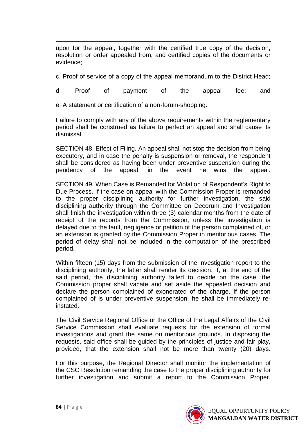1 upon for the appeal, together with the certified true copy of the decision, resolution or order appealed from, and certified copies of the documents or evidence;

c. Proof of service of a copy of the appeal memorandum to the District Head;

d. Proof of payment of the appeal fee; and

e. A statement or certification of a non-forum-shopping.

Failure to comply with any of the above requirements within the reglementary period shall be construed as failure to perfect an appeal and shall cause its dismissal.

SECTION 48. Effect of Filing. An appeal shall not stop the decision from being executory, and in case the penalty is suspension or removal, the respondent shall be considered as having been under preventive suspension during the pendency of the appeal, in the event he wins the appeal.

SECTION 49. When Case is Remanded for Violation of Respondent's Right to Due Process. If the case on appeal with the Commission Proper is remanded to the proper disciplining authority for further investigation, the said disciplining authority through the Committee on Decorum and Investigation shall finish the investigation within three (3) calendar months from the date of receipt of the records from the Commission, unless the investigation is delayed due to the fault, negligence or petition of the person complained of, or an extension is granted by the Commission Proper in meritorious cases. The period of delay shall not be included in the computation of the prescribed period.

Within fifteen (15) days from the submission of the investigation report to the disciplining authority, the latter shall render its decision. If, at the end of the said period, the disciplining authority failed to decide on the case, the Commission proper shall vacate and set aside the appealed decision and declare the person complained of exonerated of the charge. If the person complained of is under preventive suspension, he shall be immediately reinstated.

The Civil Service Regional Office or the Office of the Legal Affairs of the Civil Service Commission shall evaluate requests for the extension of formal investigations and grant the same on meritorious grounds. In disposing the requests, said office shall be guided by the principles of justice and fair play, provided, that the extension shall not be more than twenty (20) days.

For this purpose, the Regional Director shall monitor the implementation of the CSC Resolution remanding the case to the proper disciplining authority for further investigation and submit a report to the Commission Proper.

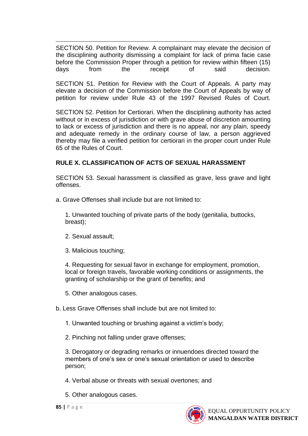1 SECTION 50. Petition for Review. A complainant may elevate the decision of the disciplining authority dismissing a complaint for lack of prima facie case before the Commission Proper through a petition for review within fifteen (15) days from the receipt of said decision.

SECTION 51. Petition for Review with the Court of Appeals. A party may elevate a decision of the Commission before the Court of Appeals by way of petition for review under Rule 43 of the 1997 Revised Rules of Court.

SECTION 52. Petition for Certiorari. When the disciplining authority has acted without or in excess of jurisdiction or with grave abuse of discretion amounting to lack or excess of jurisdiction and there is no appeal, nor any plain, speedy and adequate remedy in the ordinary course of law, a person aggrieved thereby may file a verified petition for certiorari in the proper court under Rule 65 of the Rules of Court.

## **RULE X. CLASSIFICATION OF ACTS OF SEXUAL HARASSMENT**

SECTION 53. Sexual harassment is classified as grave, less grave and light offenses.

a. Grave Offenses shall include but are not limited to:

1. Unwanted touching of private parts of the body (genitalia, buttocks, breast);

- 2. Sexual assault;
- 3. Malicious touching;

4. Requesting for sexual favor in exchange for employment, promotion, local or foreign travels, favorable working conditions or assignments, the granting of scholarship or the grant of benefits; and

5. Other analogous cases.

b. Less Grave Offenses shall include but are not limited to:

- 1. Unwanted touching or brushing against a victim's body;
- 2. Pinching not falling under grave offenses;

3. Derogatory or degrading remarks or innuendoes directed toward the members of one's sex or one's sexual orientation or used to describe person;

- 4. Verbal abuse or threats with sexual overtones; and
- 5. Other analogous cases.

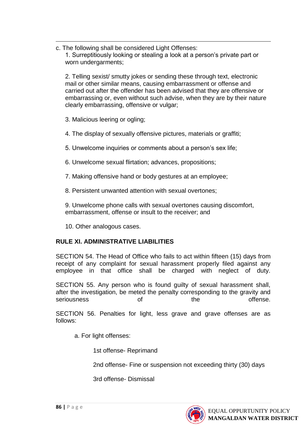1 c. The following shall be considered Light Offenses: 1. Surreptitiously looking or stealing a look at a person's private part or worn undergarments:

2. Telling sexist/ smutty jokes or sending these through text, electronic mail or other similar means, causing embarrassment or offense and carried out after the offender has been advised that they are offensive or embarrassing or, even without such advise, when they are by their nature clearly embarrassing, offensive or vulgar;

3. Malicious leering or ogling;

- 4. The display of sexually offensive pictures, materials or graffiti;
- 5. Unwelcome inquiries or comments about a person's sex life;
- 6. Unwelcome sexual flirtation; advances, propositions;
- 7. Making offensive hand or body gestures at an employee;
- 8. Persistent unwanted attention with sexual overtones;

9. Unwelcome phone calls with sexual overtones causing discomfort, embarrassment, offense or insult to the receiver; and

10. Other analogous cases.

# **RULE XI. ADMINISTRATIVE LIABILITIES**

SECTION 54. The Head of Office who fails to act within fifteen (15) days from receipt of any complaint for sexual harassment properly filed against any employee in that office shall be charged with neglect of duty.

SECTION 55. Any person who is found guilty of sexual harassment shall, after the investigation, be meted the penalty corresponding to the gravity and seriousness of the the offense

SECTION 56. Penalties for light, less grave and grave offenses are as follows:

a. For light offenses:

1st offense- Reprimand

2nd offense- Fine or suspension not exceeding thirty (30) days

3rd offense- Dismissal

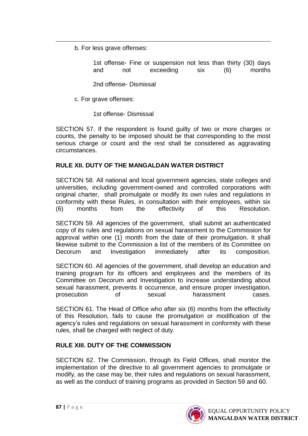b. For less grave offenses:

1

1st offense- Fine or suspension not less than thirty (30) days and not exceeding six (6) months

2nd offense- Dismissal

c. For grave offenses:

1st offense- Dismissal

SECTION 57. If the respondent is found guilty of two or more charges or counts, the penalty to be imposed should be that corresponding to the most serious charge or count and the rest shall be considered as aggravating circumstances.

### **RULE XII. DUTY OF THE MANGALDAN WATER DISTRICT**

SECTION 58. All national and local government agencies, state colleges and universities, including government-owned and controlled corporations with original charter, shall promulgate or modify its own rules and regulations in conformity with these Rules, in consultation with their employees, within six (6) months from the effectivity of this Resolution.

SECTION 59. All agencies of the government, shall submit an authenticated copy of its rules and regulations on sexual harassment to the Commission for approval within one (1) month from the date of their promulgation. It shall likewise submit to the Commission a list of the members of its Committee on Decorum and Investigation immediately after its composition.

SECTION 60. All agencies of the government, shall develop an education and training program for its officers and employees and the members of its Committee on Decorum and Investigation to increase understanding about sexual harassment, prevents it occurrence, and ensure proper investigation. prosecution of sexual harassment cases.

SECTION 61. The Head of Office who after six (6) months from the effectivity of this Resolution, fails to cause the promulgation or modification of the agency's rules and regulations on sexual harassment in conformity with these rules, shall be charged with neglect of duty.

## **RULE XIII. DUTY OF THE COMMISSION**

SECTION 62. The Commission, through its Field Offices, shall monitor the implementation of the directive to all government agencies to promulgate or modify, as the case may be, their rules and regulations on sexual harassment, as well as the conduct of training programs as provided in Section 59 and 60.

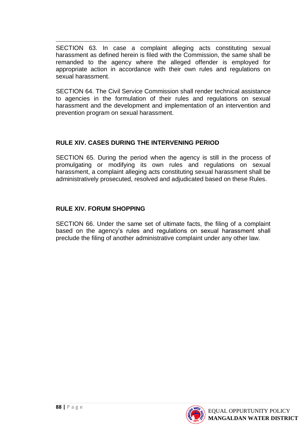1 SECTION 63. In case a complaint alleging acts constituting sexual harassment as defined herein is filed with the Commission, the same shall be remanded to the agency where the alleged offender is employed for appropriate action in accordance with their own rules and regulations on sexual harassment.

SECTION 64. The Civil Service Commission shall render technical assistance to agencies in the formulation of their rules and regulations on sexual harassment and the development and implementation of an intervention and prevention program on sexual harassment.

### **RULE XIV. CASES DURING THE INTERVENING PERIOD**

SECTION 65. During the period when the agency is still in the process of promulgating or modifying its own rules and regulations on sexual harassment, a complaint alleging acts constituting sexual harassment shall be administratively prosecuted, resolved and adjudicated based on these Rules.

### **RULE XIV. FORUM SHOPPING**

SECTION 66. Under the same set of ultimate facts, the filing of a complaint based on the agency's rules and regulations on sexual harassment shall preclude the filing of another administrative complaint under any other law.

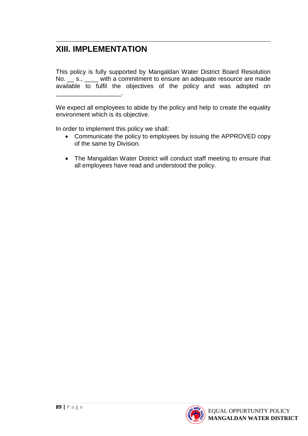### 1 **XIII. IMPLEMENTATION**

This policy is fully supported by Mangaldan Water District Board Resolution No. \_\_ s., \_\_\_\_ with a commitment to ensure an adequate resource are made available to fulfil the objectives of the policy and was adopted on \_\_\_\_\_\_\_\_\_\_\_\_\_\_\_\_\_\_\_.

We expect all employees to abide by the policy and help to create the equality environment which is its objective.

In order to implement this policy we shall:

- Communicate the policy to employees by issuing the APPROVED copy of the same by Division.
- The Mangaldan Water District will conduct staff meeting to ensure that all employees have read and understood the policy.